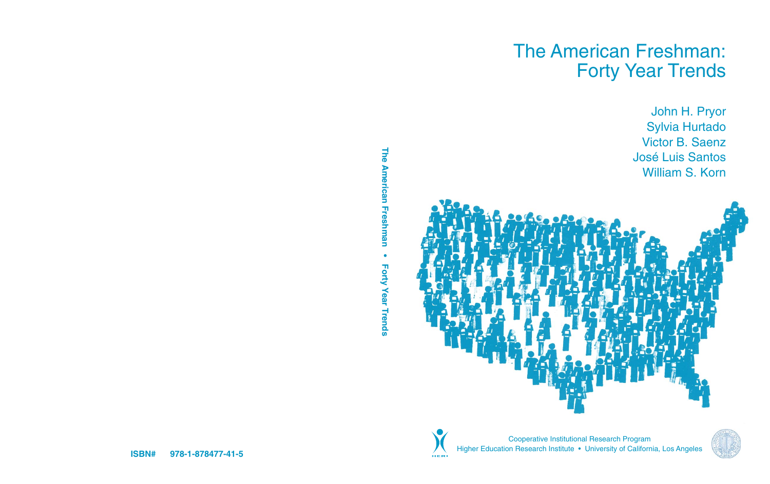# The American Freshman: Forty Year Trends

John H. Pryor Sylvia Hurtado Victor B. Saenz José Luis Santos William S. Korn





Cooperative Institutional Research Program Higher Education Research Institute • University of California, Los Angeles

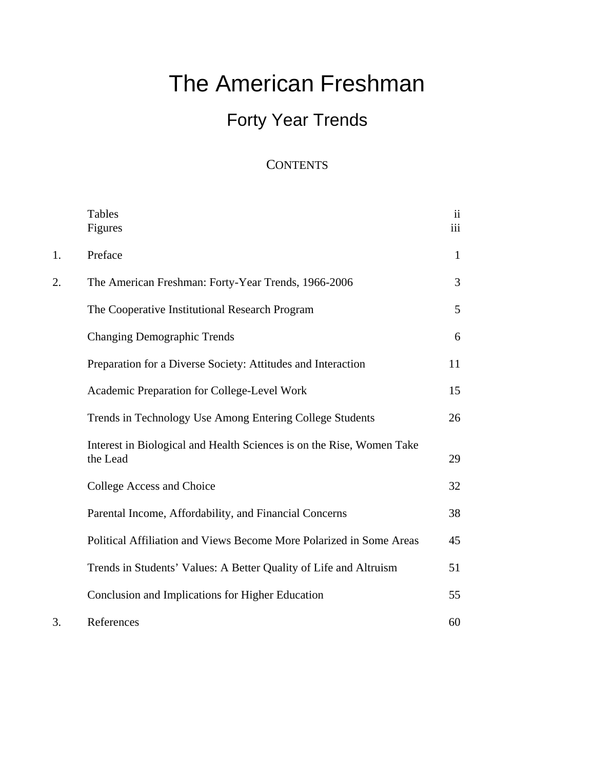# The American Freshman

# Forty Year Trends

### **CONTENTS**

|    | <b>Tables</b><br>Figures                                                          | $\overline{\mathbf{u}}$<br>iii |
|----|-----------------------------------------------------------------------------------|--------------------------------|
| 1. | Preface                                                                           | $\mathbf{1}$                   |
| 2. | The American Freshman: Forty-Year Trends, 1966-2006                               | 3                              |
|    | The Cooperative Institutional Research Program                                    | 5                              |
|    | <b>Changing Demographic Trends</b>                                                | 6                              |
|    | Preparation for a Diverse Society: Attitudes and Interaction                      | 11                             |
|    | Academic Preparation for College-Level Work                                       | 15                             |
|    | Trends in Technology Use Among Entering College Students                          | 26                             |
|    | Interest in Biological and Health Sciences is on the Rise, Women Take<br>the Lead | 29                             |
|    | College Access and Choice                                                         | 32                             |
|    | Parental Income, Affordability, and Financial Concerns                            | 38                             |
|    | Political Affiliation and Views Become More Polarized in Some Areas               | 45                             |
|    | Trends in Students' Values: A Better Quality of Life and Altruism                 | 51                             |
|    | Conclusion and Implications for Higher Education                                  | 55                             |
| 3. | References                                                                        | 60                             |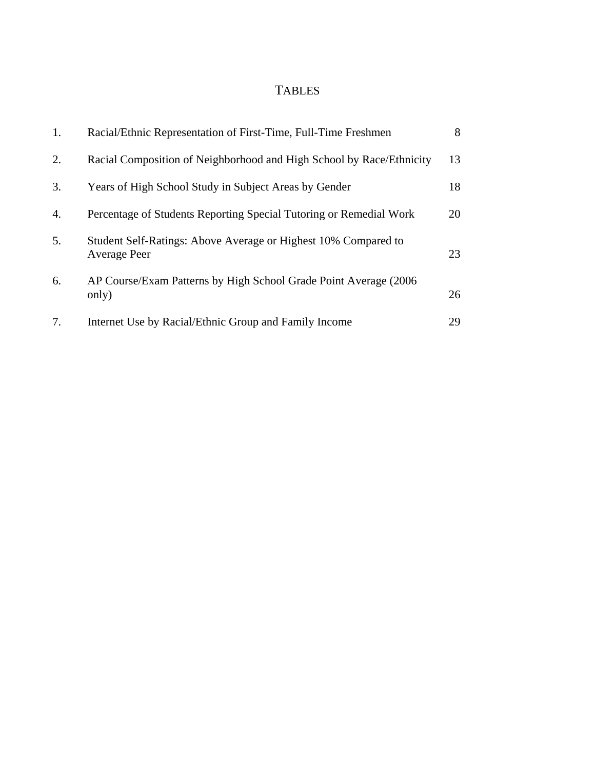### TABLES

| 1. | Racial/Ethnic Representation of First-Time, Full-Time Freshmen                        | 8  |
|----|---------------------------------------------------------------------------------------|----|
| 2. | Racial Composition of Neighborhood and High School by Race/Ethnicity                  | 13 |
| 3. | Years of High School Study in Subject Areas by Gender                                 | 18 |
| 4. | Percentage of Students Reporting Special Tutoring or Remedial Work                    | 20 |
| 5. | Student Self-Ratings: Above Average or Highest 10% Compared to<br><b>Average Peer</b> | 23 |
| 6. | AP Course/Exam Patterns by High School Grade Point Average (2006)<br>only)            | 26 |
| 7. | Internet Use by Racial/Ethnic Group and Family Income                                 | 29 |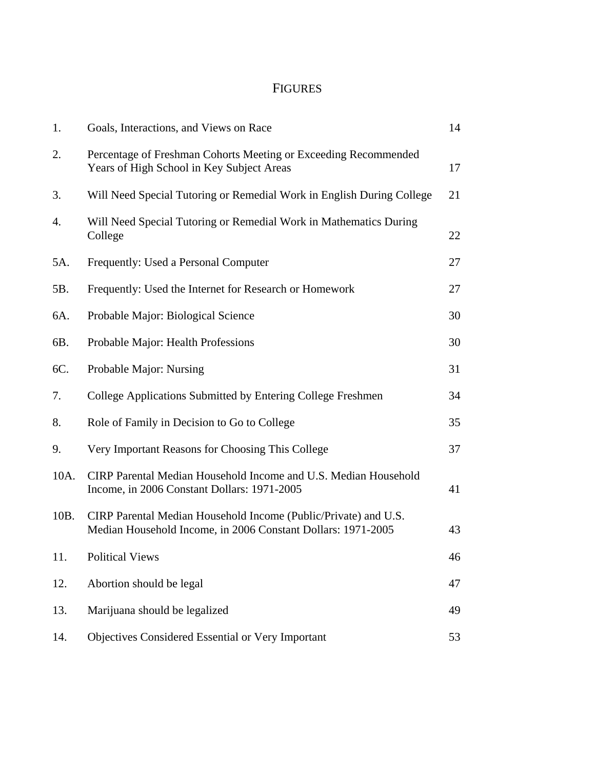## FIGURES

| 1.   | Goals, Interactions, and Views on Race                                                                                          | 14 |
|------|---------------------------------------------------------------------------------------------------------------------------------|----|
| 2.   | Percentage of Freshman Cohorts Meeting or Exceeding Recommended<br>Years of High School in Key Subject Areas                    | 17 |
| 3.   | Will Need Special Tutoring or Remedial Work in English During College                                                           | 21 |
| 4.   | Will Need Special Tutoring or Remedial Work in Mathematics During<br>College                                                    | 22 |
| 5A.  | Frequently: Used a Personal Computer                                                                                            | 27 |
| 5B.  | Frequently: Used the Internet for Research or Homework                                                                          | 27 |
| 6A.  | Probable Major: Biological Science                                                                                              | 30 |
| 6B.  | Probable Major: Health Professions                                                                                              | 30 |
| 6C.  | Probable Major: Nursing                                                                                                         | 31 |
| 7.   | College Applications Submitted by Entering College Freshmen                                                                     | 34 |
| 8.   | Role of Family in Decision to Go to College                                                                                     | 35 |
| 9.   | Very Important Reasons for Choosing This College                                                                                | 37 |
| 10A. | CIRP Parental Median Household Income and U.S. Median Household<br>Income, in 2006 Constant Dollars: 1971-2005                  | 41 |
| 10B. | CIRP Parental Median Household Income (Public/Private) and U.S.<br>Median Household Income, in 2006 Constant Dollars: 1971-2005 | 43 |
| 11.  | <b>Political Views</b>                                                                                                          | 46 |
| 12.  | Abortion should be legal                                                                                                        | 47 |
| 13.  | Marijuana should be legalized                                                                                                   | 49 |
| 14.  | Objectives Considered Essential or Very Important                                                                               | 53 |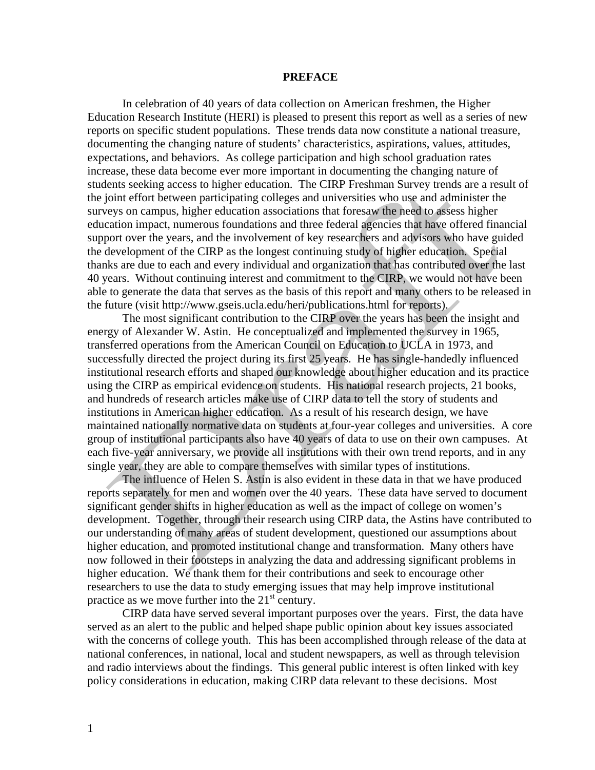#### **PREFACE**

 In celebration of 40 years of data collection on American freshmen, the Higher Education Research Institute (HERI) is pleased to present this report as well as a series of new reports on specific student populations. These trends data now constitute a national treasure, documenting the changing nature of students' characteristics, aspirations, values, attitudes, expectations, and behaviors. As college participation and high school graduation rates increase, these data become ever more important in documenting the changing nature of students seeking access to higher education. The CIRP Freshman Survey trends are a result of the joint effort between participating colleges and universities who use and administer the surveys on campus, higher education associations that foresaw the need to assess higher education impact, numerous foundations and three federal agencies that have offered financial support over the years, and the involvement of key researchers and advisors who have guided the development of the CIRP as the longest continuing study of higher education. Special thanks are due to each and every individual and organization that has contributed over the last 40 years. Without continuing interest and commitment to the CIRP, we would not have been able to generate the data that serves as the basis of this report and many others to be released in the future (visit http://www.gseis.ucla.edu/heri/publications.html for reports).

 The most significant contribution to the CIRP over the years has been the insight and energy of Alexander W. Astin. He conceptualized and implemented the survey in 1965, transferred operations from the American Council on Education to UCLA in 1973, and successfully directed the project during its first 25 years. He has single-handedly influenced institutional research efforts and shaped our knowledge about higher education and its practice using the CIRP as empirical evidence on students. His national research projects, 21 books, and hundreds of research articles make use of CIRP data to tell the story of students and institutions in American higher education. As a result of his research design, we have maintained nationally normative data on students at four-year colleges and universities. A core group of institutional participants also have 40 years of data to use on their own campuses. At each five-year anniversary, we provide all institutions with their own trend reports, and in any single year, they are able to compare themselves with similar types of institutions.

The influence of Helen S. Astin is also evident in these data in that we have produced reports separately for men and women over the 40 years. These data have served to document significant gender shifts in higher education as well as the impact of college on women's development. Together, through their research using CIRP data, the Astins have contributed to our understanding of many areas of student development, questioned our assumptions about higher education, and promoted institutional change and transformation. Many others have now followed in their footsteps in analyzing the data and addressing significant problems in higher education. We thank them for their contributions and seek to encourage other researchers to use the data to study emerging issues that may help improve institutional practice as we move further into the  $21<sup>st</sup>$  century.

CIRP data have served several important purposes over the years. First, the data have served as an alert to the public and helped shape public opinion about key issues associated with the concerns of college youth. This has been accomplished through release of the data at national conferences, in national, local and student newspapers, as well as through television and radio interviews about the findings. This general public interest is often linked with key policy considerations in education, making CIRP data relevant to these decisions. Most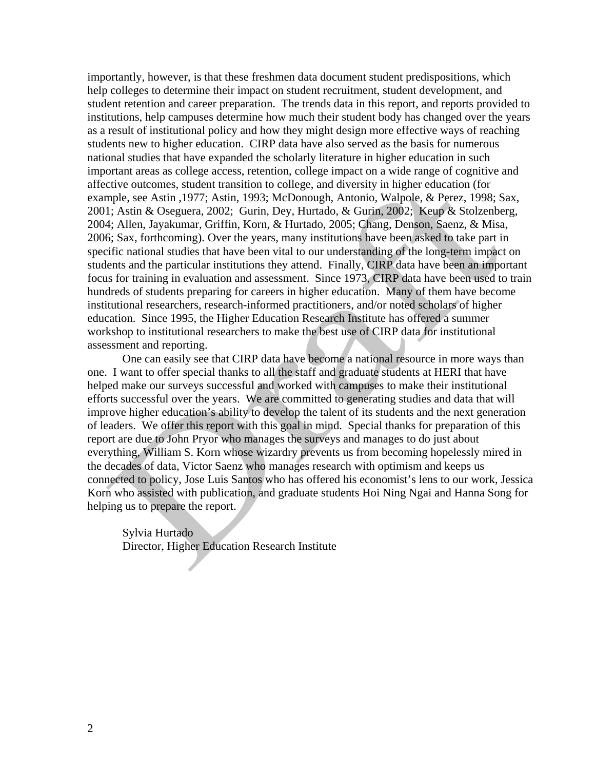importantly, however, is that these freshmen data document student predispositions, which help colleges to determine their impact on student recruitment, student development, and student retention and career preparation. The trends data in this report, and reports provided to institutions, help campuses determine how much their student body has changed over the years as a result of institutional policy and how they might design more effective ways of reaching students new to higher education. CIRP data have also served as the basis for numerous national studies that have expanded the scholarly literature in higher education in such important areas as college access, retention, college impact on a wide range of cognitive and affective outcomes, student transition to college, and diversity in higher education (for example, see Astin ,1977; Astin, 1993; McDonough, Antonio, Walpole, & Perez, 1998; Sax, 2001; Astin & Oseguera, 2002; Gurin, Dey, Hurtado, & Gurin, 2002; Keup & Stolzenberg, 2004; Allen, Jayakumar, Griffin, Korn, & Hurtado, 2005; Chang, Denson, Saenz, & Misa, 2006; Sax, forthcoming). Over the years, many institutions have been asked to take part in specific national studies that have been vital to our understanding of the long-term impact on students and the particular institutions they attend. Finally, CIRP data have been an important focus for training in evaluation and assessment. Since 1973, CIRP data have been used to train hundreds of students preparing for careers in higher education. Many of them have become institutional researchers, research-informed practitioners, and/or noted scholars of higher education. Since 1995, the Higher Education Research Institute has offered a summer workshop to institutional researchers to make the best use of CIRP data for institutional assessment and reporting.

One can easily see that CIRP data have become a national resource in more ways than one. I want to offer special thanks to all the staff and graduate students at HERI that have helped make our surveys successful and worked with campuses to make their institutional efforts successful over the years. We are committed to generating studies and data that will improve higher education's ability to develop the talent of its students and the next generation of leaders. We offer this report with this goal in mind. Special thanks for preparation of this report are due to John Pryor who manages the surveys and manages to do just about everything, William S. Korn whose wizardry prevents us from becoming hopelessly mired in the decades of data, Victor Saenz who manages research with optimism and keeps us connected to policy, Jose Luis Santos who has offered his economist's lens to our work, Jessica Korn who assisted with publication, and graduate students Hoi Ning Ngai and Hanna Song for helping us to prepare the report.

Sylvia Hurtado Director, Higher Education Research Institute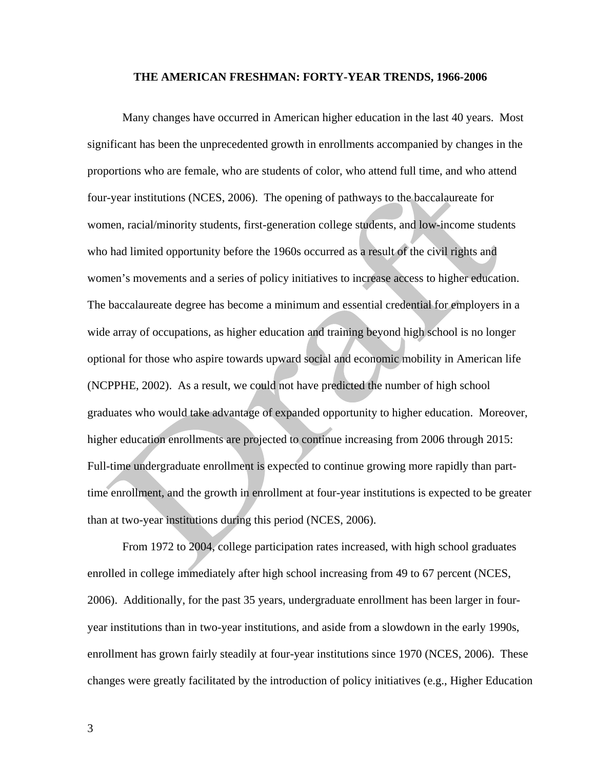#### **THE AMERICAN FRESHMAN: FORTY-YEAR TRENDS, 1966-2006**

 Many changes have occurred in American higher education in the last 40 years. Most significant has been the unprecedented growth in enrollments accompanied by changes in the proportions who are female, who are students of color, who attend full time, and who attend four-year institutions (NCES, 2006). The opening of pathways to the baccalaureate for women, racial/minority students, first-generation college students, and low-income students who had limited opportunity before the 1960s occurred as a result of the civil rights and women's movements and a series of policy initiatives to increase access to higher education. The baccalaureate degree has become a minimum and essential credential for employers in a wide array of occupations, as higher education and training beyond high school is no longer optional for those who aspire towards upward social and economic mobility in American life (NCPPHE, 2002). As a result, we could not have predicted the number of high school graduates who would take advantage of expanded opportunity to higher education. Moreover, higher education enrollments are projected to continue increasing from 2006 through 2015: Full-time undergraduate enrollment is expected to continue growing more rapidly than parttime enrollment, and the growth in enrollment at four-year institutions is expected to be greater than at two-year institutions during this period (NCES, 2006).

From 1972 to 2004, college participation rates increased, with high school graduates enrolled in college immediately after high school increasing from 49 to 67 percent (NCES, 2006). Additionally, for the past 35 years, undergraduate enrollment has been larger in fouryear institutions than in two-year institutions, and aside from a slowdown in the early 1990s, enrollment has grown fairly steadily at four-year institutions since 1970 (NCES, 2006). These changes were greatly facilitated by the introduction of policy initiatives (e.g., Higher Education

3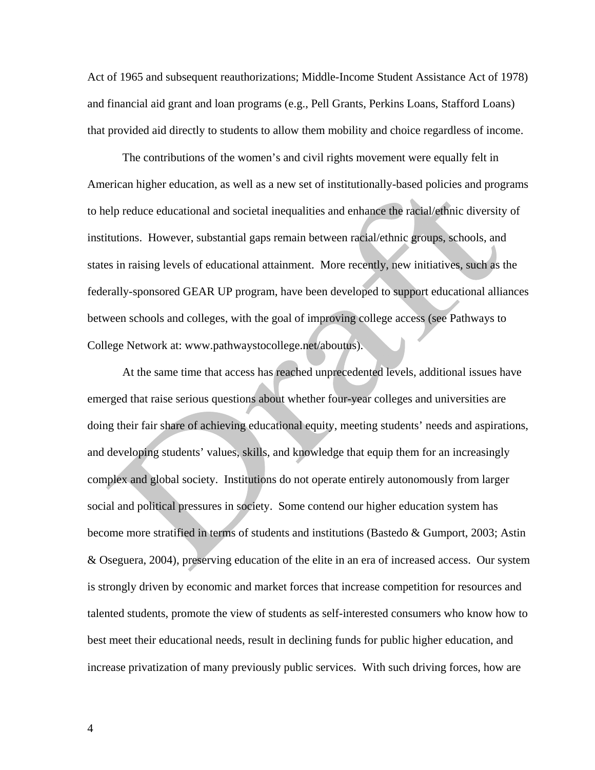Act of 1965 and subsequent reauthorizations; Middle-Income Student Assistance Act of 1978) and financial aid grant and loan programs (e.g., Pell Grants, Perkins Loans, Stafford Loans) that provided aid directly to students to allow them mobility and choice regardless of income.

The contributions of the women's and civil rights movement were equally felt in American higher education, as well as a new set of institutionally-based policies and programs to help reduce educational and societal inequalities and enhance the racial/ethnic diversity of institutions. However, substantial gaps remain between racial/ethnic groups, schools, and states in raising levels of educational attainment. More recently, new initiatives, such as the federally-sponsored GEAR UP program, have been developed to support educational alliances between schools and colleges, with the goal of improving college access (see Pathways to College Network at: www.pathwaystocollege.net/aboutus).

At the same time that access has reached unprecedented levels, additional issues have emerged that raise serious questions about whether four-year colleges and universities are doing their fair share of achieving educational equity, meeting students' needs and aspirations, and developing students' values, skills, and knowledge that equip them for an increasingly complex and global society. Institutions do not operate entirely autonomously from larger social and political pressures in society. Some contend our higher education system has become more stratified in terms of students and institutions (Bastedo & Gumport, 2003; Astin & Oseguera, 2004), preserving education of the elite in an era of increased access. Our system is strongly driven by economic and market forces that increase competition for resources and talented students, promote the view of students as self-interested consumers who know how to best meet their educational needs, result in declining funds for public higher education, and increase privatization of many previously public services. With such driving forces, how are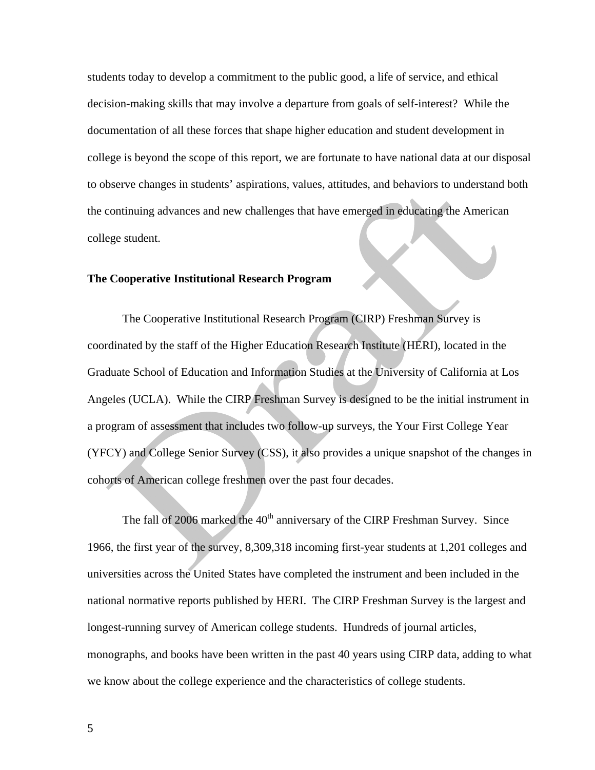students today to develop a commitment to the public good, a life of service, and ethical decision-making skills that may involve a departure from goals of self-interest? While the documentation of all these forces that shape higher education and student development in college is beyond the scope of this report, we are fortunate to have national data at our disposal to observe changes in students' aspirations, values, attitudes, and behaviors to understand both the continuing advances and new challenges that have emerged in educating the American college student.

#### **The Cooperative Institutional Research Program**

The Cooperative Institutional Research Program (CIRP) Freshman Survey is coordinated by the staff of the Higher Education Research Institute (HERI), located in the Graduate School of Education and Information Studies at the University of California at Los Angeles (UCLA). While the CIRP Freshman Survey is designed to be the initial instrument in a program of assessment that includes two follow-up surveys, the Your First College Year (YFCY) and College Senior Survey (CSS), it also provides a unique snapshot of the changes in cohorts of American college freshmen over the past four decades.

The fall of 2006 marked the  $40<sup>th</sup>$  anniversary of the CIRP Freshman Survey. Since 1966, the first year of the survey, 8,309,318 incoming first-year students at 1,201 colleges and universities across the United States have completed the instrument and been included in the national normative reports published by HERI. The CIRP Freshman Survey is the largest and longest-running survey of American college students. Hundreds of journal articles, monographs, and books have been written in the past 40 years using CIRP data, adding to what we know about the college experience and the characteristics of college students.

5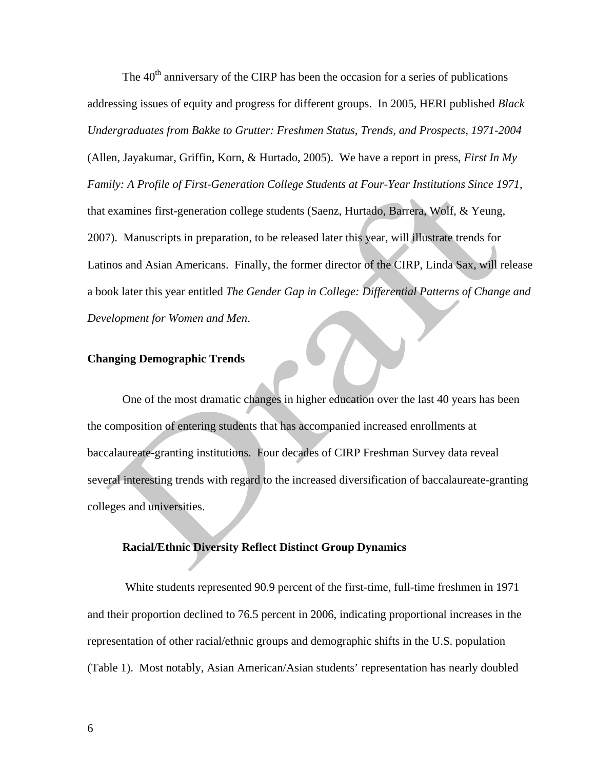The  $40<sup>th</sup>$  anniversary of the CIRP has been the occasion for a series of publications addressing issues of equity and progress for different groups. In 2005, HERI published *Black Undergraduates from Bakke to Grutter: Freshmen Status, Trends, and Prospects, 1971-2004* (Allen, Jayakumar, Griffin, Korn, & Hurtado, 2005). We have a report in press, *First In My Family: A Profile of First-Generation College Students at Four-Year Institutions Since 1971*, that examines first-generation college students (Saenz, Hurtado, Barrera, Wolf, & Yeung, 2007). Manuscripts in preparation, to be released later this year, will illustrate trends for Latinos and Asian Americans. Finally, the former director of the CIRP, Linda Sax, will release a book later this year entitled *The Gender Gap in College: Differential Patterns of Change and Development for Women and Men*.

#### **Changing Demographic Trends**

 One of the most dramatic changes in higher education over the last 40 years has been the composition of entering students that has accompanied increased enrollments at baccalaureate-granting institutions. Four decades of CIRP Freshman Survey data reveal several interesting trends with regard to the increased diversification of baccalaureate-granting colleges and universities.

#### **Racial/Ethnic Diversity Reflect Distinct Group Dynamics**

 White students represented 90.9 percent of the first-time, full-time freshmen in 1971 and their proportion declined to 76.5 percent in 2006, indicating proportional increases in the representation of other racial/ethnic groups and demographic shifts in the U.S. population (Table 1). Most notably, Asian American/Asian students' representation has nearly doubled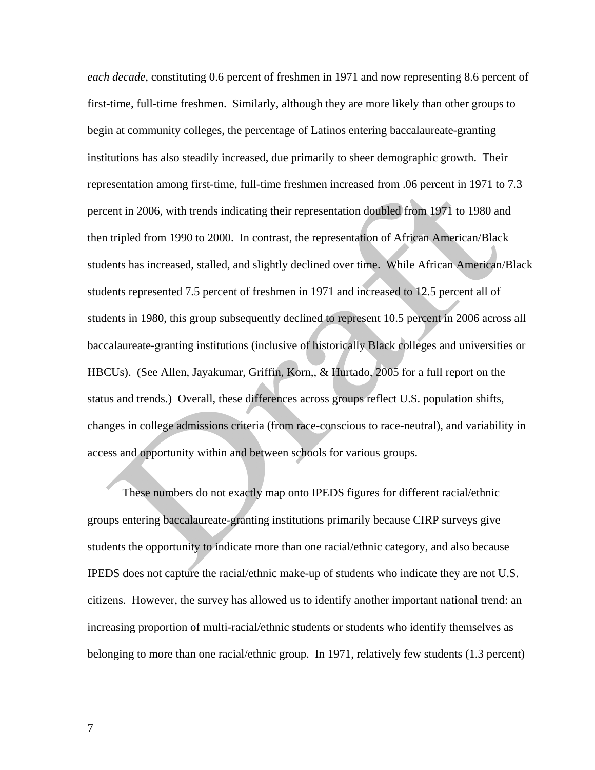*each decade*, constituting 0.6 percent of freshmen in 1971 and now representing 8.6 percent of first-time, full-time freshmen. Similarly, although they are more likely than other groups to begin at community colleges, the percentage of Latinos entering baccalaureate-granting institutions has also steadily increased, due primarily to sheer demographic growth. Their representation among first-time, full-time freshmen increased from .06 percent in 1971 to 7.3 percent in 2006, with trends indicating their representation doubled from 1971 to 1980 and then tripled from 1990 to 2000. In contrast, the representation of African American/Black students has increased, stalled, and slightly declined over time. While African American/Black students represented 7.5 percent of freshmen in 1971 and increased to 12.5 percent all of students in 1980, this group subsequently declined to represent 10.5 percent in 2006 across all baccalaureate-granting institutions (inclusive of historically Black colleges and universities or HBCUs). (See Allen, Jayakumar, Griffin, Korn,, & Hurtado, 2005 for a full report on the status and trends.) Overall, these differences across groups reflect U.S. population shifts, changes in college admissions criteria (from race-conscious to race-neutral), and variability in access and opportunity within and between schools for various groups.

These numbers do not exactly map onto IPEDS figures for different racial/ethnic groups entering baccalaureate-granting institutions primarily because CIRP surveys give students the opportunity to indicate more than one racial/ethnic category, and also because IPEDS does not capture the racial/ethnic make-up of students who indicate they are not U.S. citizens. However, the survey has allowed us to identify another important national trend: an increasing proportion of multi-racial/ethnic students or students who identify themselves as belonging to more than one racial/ethnic group. In 1971, relatively few students (1.3 percent)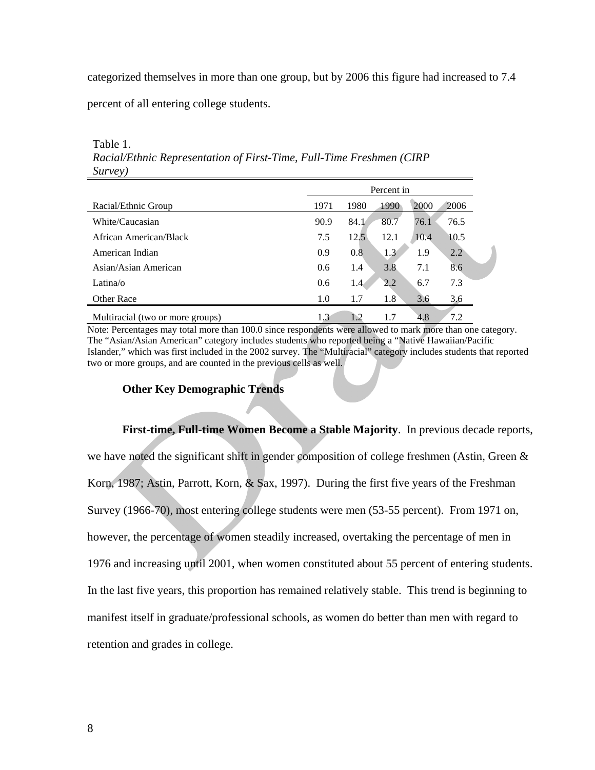categorized themselves in more than one group, but by 2006 this figure had increased to 7.4

percent of all entering college students.

|                                  | Percent in |      |      |      |               |
|----------------------------------|------------|------|------|------|---------------|
| Racial/Ethnic Group              | 1971       | 1980 | 1990 | 2000 | 2006          |
| White/Caucasian                  | 90.9       | 84.1 | 80.7 | 76.1 | 76.5          |
| African American/Black           | 7.5        | 12.5 | 12.1 | 10.4 | 10.5          |
| American Indian                  | 0.9        | 0.8  | 1.3  | 1.9  | $2.2^{\circ}$ |
| Asian/Asian American             | 0.6        | 1.4  | 3.8  | 7.1  | 8.6           |
| Latina/ $\alpha$                 | 0.6        | 1.4  | 2.2  | 6.7  | 7.3           |
| <b>Other Race</b>                | 1.0        | 1.7  | 1.8  | 3.6  | 3.6           |
| Multiracial (two or more groups) | 1.3        | 1.2  | 1.7  | 4.8  | 7.2           |

Table 1. *Racial/Ethnic Representation of First-Time, Full-Time Freshmen (CIRP Survey)* 

Note: Percentages may total more than 100.0 since respondents were allowed to mark more than one category. The "Asian/Asian American" category includes students who reported being a "Native Hawaiian/Pacific Islander," which was first included in the 2002 survey. The "Multiracial" category includes students that reported two or more groups, and are counted in the previous cells as well.

#### **Other Key Demographic Trends**

**First-time, Full-time Women Become a Stable Majority**. In previous decade reports, we have noted the significant shift in gender composition of college freshmen (Astin, Green & Korn, 1987; Astin, Parrott, Korn, & Sax, 1997). During the first five years of the Freshman Survey (1966-70), most entering college students were men (53-55 percent). From 1971 on, however, the percentage of women steadily increased, overtaking the percentage of men in 1976 and increasing until 2001, when women constituted about 55 percent of entering students. In the last five years, this proportion has remained relatively stable. This trend is beginning to manifest itself in graduate/professional schools, as women do better than men with regard to retention and grades in college.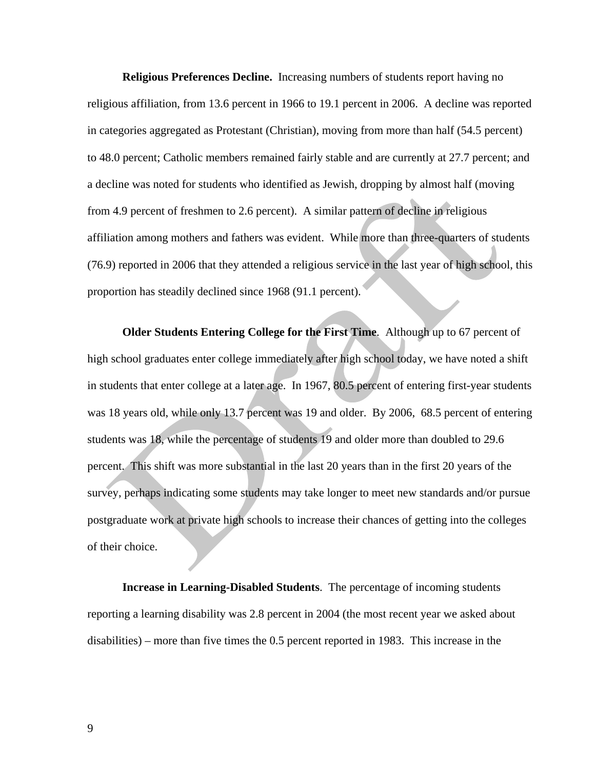**Religious Preferences Decline.** Increasing numbers of students report having no religious affiliation, from 13.6 percent in 1966 to 19.1 percent in 2006. A decline was reported in categories aggregated as Protestant (Christian), moving from more than half (54.5 percent) to 48.0 percent; Catholic members remained fairly stable and are currently at 27.7 percent; and a decline was noted for students who identified as Jewish, dropping by almost half (moving from 4.9 percent of freshmen to 2.6 percent). A similar pattern of decline in religious affiliation among mothers and fathers was evident. While more than three-quarters of students (76.9) reported in 2006 that they attended a religious service in the last year of high school, this proportion has steadily declined since 1968 (91.1 percent).

**Older Students Entering College for the First Time**. Although up to 67 percent of high school graduates enter college immediately after high school today, we have noted a shift in students that enter college at a later age. In 1967, 80.5 percent of entering first-year students was 18 years old, while only 13.7 percent was 19 and older. By 2006, 68.5 percent of entering students was 18, while the percentage of students 19 and older more than doubled to 29.6 percent. This shift was more substantial in the last 20 years than in the first 20 years of the survey, perhaps indicating some students may take longer to meet new standards and/or pursue postgraduate work at private high schools to increase their chances of getting into the colleges of their choice.

**Increase in Learning-Disabled Students**. The percentage of incoming students reporting a learning disability was 2.8 percent in 2004 (the most recent year we asked about disabilities) – more than five times the 0.5 percent reported in 1983. This increase in the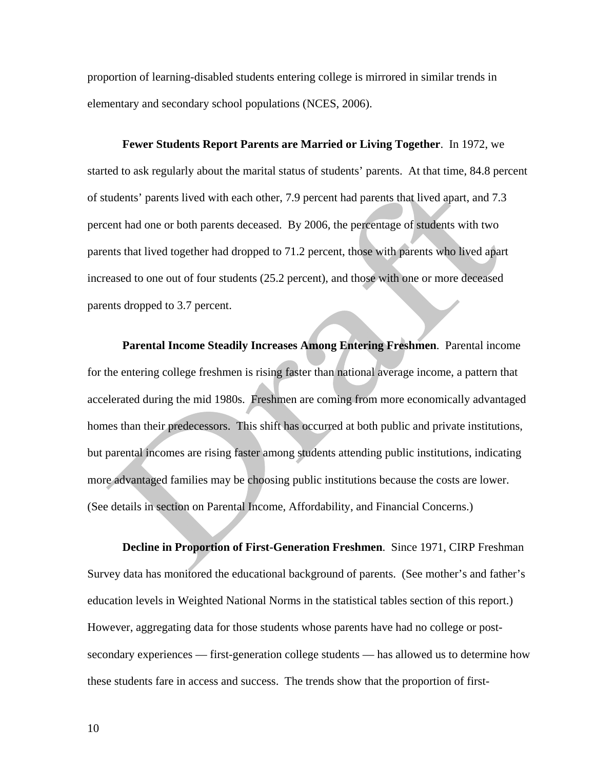proportion of learning-disabled students entering college is mirrored in similar trends in elementary and secondary school populations (NCES, 2006).

**Fewer Students Report Parents are Married or Living Together**. In 1972, we started to ask regularly about the marital status of students' parents. At that time, 84.8 percent of students' parents lived with each other, 7.9 percent had parents that lived apart, and 7.3 percent had one or both parents deceased. By 2006, the percentage of students with two parents that lived together had dropped to 71.2 percent, those with parents who lived apart increased to one out of four students (25.2 percent), and those with one or more deceased parents dropped to 3.7 percent.

**Parental Income Steadily Increases Among Entering Freshmen**. Parental income for the entering college freshmen is rising faster than national average income, a pattern that accelerated during the mid 1980s. Freshmen are coming from more economically advantaged homes than their predecessors. This shift has occurred at both public and private institutions, but parental incomes are rising faster among students attending public institutions, indicating more advantaged families may be choosing public institutions because the costs are lower. (See details in section on Parental Income, Affordability, and Financial Concerns.)

**Decline in Proportion of First-Generation Freshmen**. Since 1971, CIRP Freshman Survey data has monitored the educational background of parents. (See mother's and father's education levels in Weighted National Norms in the statistical tables section of this report.) However, aggregating data for those students whose parents have had no college or postsecondary experiences — first-generation college students — has allowed us to determine how these students fare in access and success. The trends show that the proportion of first-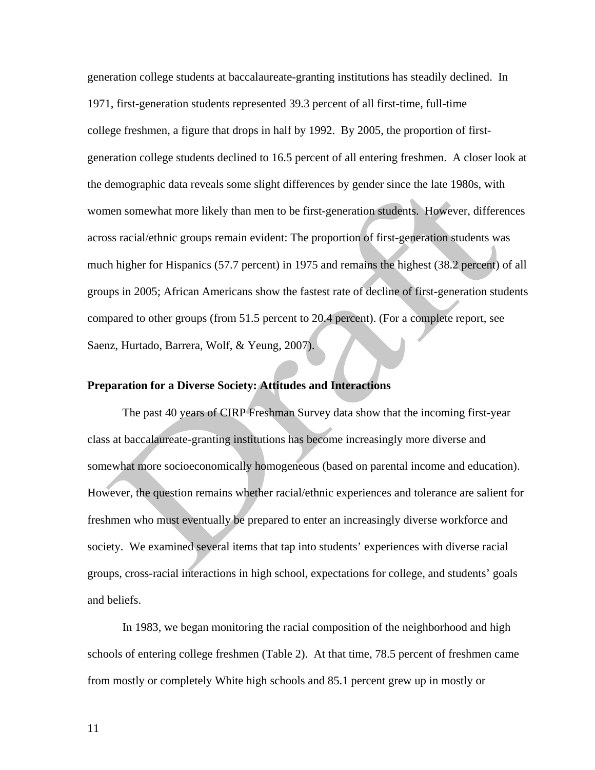generation college students at baccalaureate-granting institutions has steadily declined. In 1971, first-generation students represented 39.3 percent of all first-time, full-time college freshmen, a figure that drops in half by 1992. By 2005, the proportion of firstgeneration college students declined to 16.5 percent of all entering freshmen. A closer look at the demographic data reveals some slight differences by gender since the late 1980s, with women somewhat more likely than men to be first-generation students. However, differences across racial/ethnic groups remain evident: The proportion of first-generation students was much higher for Hispanics (57.7 percent) in 1975 and remains the highest (38.2 percent) of all groups in 2005; African Americans show the fastest rate of decline of first-generation students compared to other groups (from 51.5 percent to 20.4 percent). (For a complete report, see Saenz, Hurtado, Barrera, Wolf, & Yeung, 2007).

#### **Preparation for a Diverse Society: Attitudes and Interactions**

The past 40 years of CIRP Freshman Survey data show that the incoming first-year class at baccalaureate-granting institutions has become increasingly more diverse and somewhat more socioeconomically homogeneous (based on parental income and education). However, the question remains whether racial/ethnic experiences and tolerance are salient for freshmen who must eventually be prepared to enter an increasingly diverse workforce and society. We examined several items that tap into students' experiences with diverse racial groups, cross-racial interactions in high school, expectations for college, and students' goals and beliefs.

 In 1983, we began monitoring the racial composition of the neighborhood and high schools of entering college freshmen (Table 2). At that time, 78.5 percent of freshmen came from mostly or completely White high schools and 85.1 percent grew up in mostly or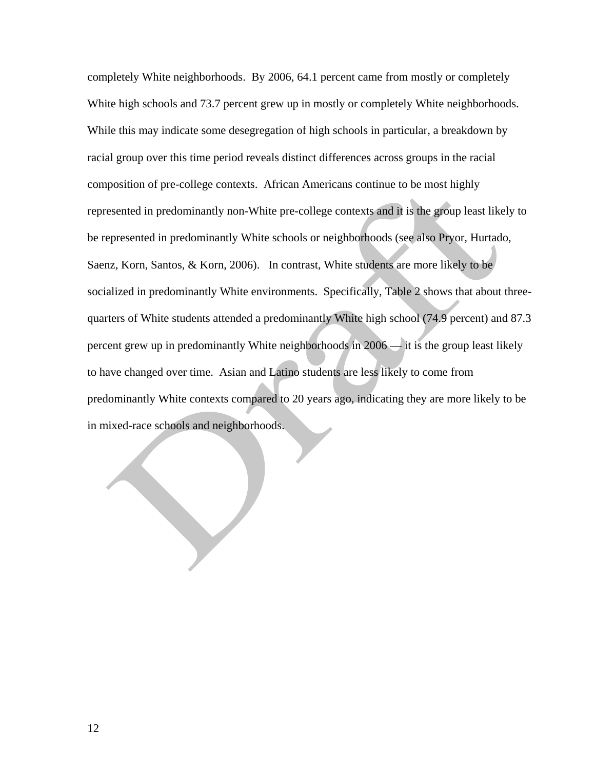completely White neighborhoods. By 2006, 64.1 percent came from mostly or completely White high schools and 73.7 percent grew up in mostly or completely White neighborhoods. While this may indicate some desegregation of high schools in particular, a breakdown by racial group over this time period reveals distinct differences across groups in the racial composition of pre-college contexts. African Americans continue to be most highly represented in predominantly non-White pre-college contexts and it is the group least likely to be represented in predominantly White schools or neighborhoods (see also Pryor, Hurtado, Saenz, Korn, Santos, & Korn, 2006). In contrast, White students are more likely to be socialized in predominantly White environments. Specifically, Table 2 shows that about threequarters of White students attended a predominantly White high school (74.9 percent) and 87.3 percent grew up in predominantly White neighborhoods in 2006 — it is the group least likely to have changed over time. Asian and Latino students are less likely to come from predominantly White contexts compared to 20 years ago, indicating they are more likely to be in mixed-race schools and neighborhoods.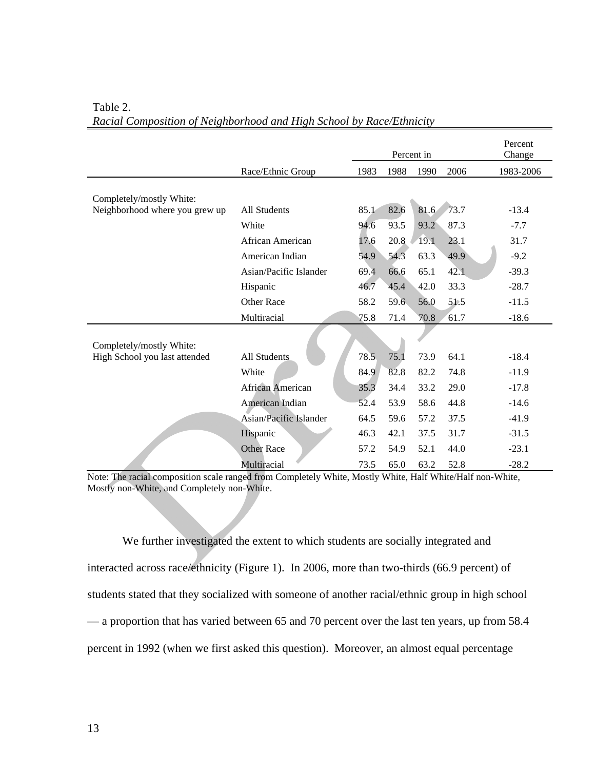|                                |                         |      |      | Percent in |      | Percent<br>Change |
|--------------------------------|-------------------------|------|------|------------|------|-------------------|
|                                | Race/Ethnic Group       | 1983 | 1988 | 1990       | 2006 | 1983-2006         |
| Completely/mostly White:       |                         |      |      |            |      |                   |
| Neighborhood where you grew up | All Students            | 85.1 | 82.6 | 81.6       | 73.7 | $-13.4$           |
|                                | White                   | 94.6 | 93.5 | 93.2       | 87.3 | $-7.7$            |
|                                | African American        | 17.6 | 20.8 | 19.1       | 23.1 | 31.7              |
|                                | American Indian         | 54.9 | 54.3 | 63.3       | 49.9 | $-9.2$            |
|                                | Asian/Pacific Islander  | 69.4 | 66.6 | 65.1       | 42.1 | $-39.3$           |
|                                | Hispanic                | 46.7 | 45.4 | 42.0       | 33.3 | $-28.7$           |
|                                | Other Race              | 58.2 | 59.6 | 56.0       | 51.5 | $-11.5$           |
|                                | Multiracial             | 75.8 | 71.4 | 70.8       | 61.7 | $-18.6$           |
| Completely/mostly White:       |                         |      |      |            |      |                   |
| High School you last attended  | All Students            | 78.5 | 75.1 | 73.9       | 64.1 | $-18.4$           |
|                                | White                   | 84.9 | 82.8 | 82.2       | 74.8 | $-11.9$           |
|                                | <b>African American</b> | 35.3 | 34.4 | 33.2       | 29.0 | $-17.8$           |
|                                | American Indian         | 52.4 | 53.9 | 58.6       | 44.8 | $-14.6$           |
|                                | Asian/Pacific Islander  | 64.5 | 59.6 | 57.2       | 37.5 | $-41.9$           |
|                                | Hispanic                | 46.3 | 42.1 | 37.5       | 31.7 | $-31.5$           |
|                                | <b>Other Race</b>       | 57.2 | 54.9 | 52.1       | 44.0 | $-23.1$           |
|                                | Multiracial             | 73.5 | 65.0 | 63.2       | 52.8 | $-28.2$           |

#### Table 2. *Racial Composition of Neighborhood and High School by Race/Ethnicity*

Note: The racial composition scale ranged from Completely White, Mostly White, Half White/Half non-White, Mostly non-White, and Completely non-White.

 We further investigated the extent to which students are socially integrated and interacted across race/ethnicity (Figure 1). In 2006, more than two-thirds (66.9 percent) of students stated that they socialized with someone of another racial/ethnic group in high school — a proportion that has varied between 65 and 70 percent over the last ten years, up from 58.4 percent in 1992 (when we first asked this question). Moreover, an almost equal percentage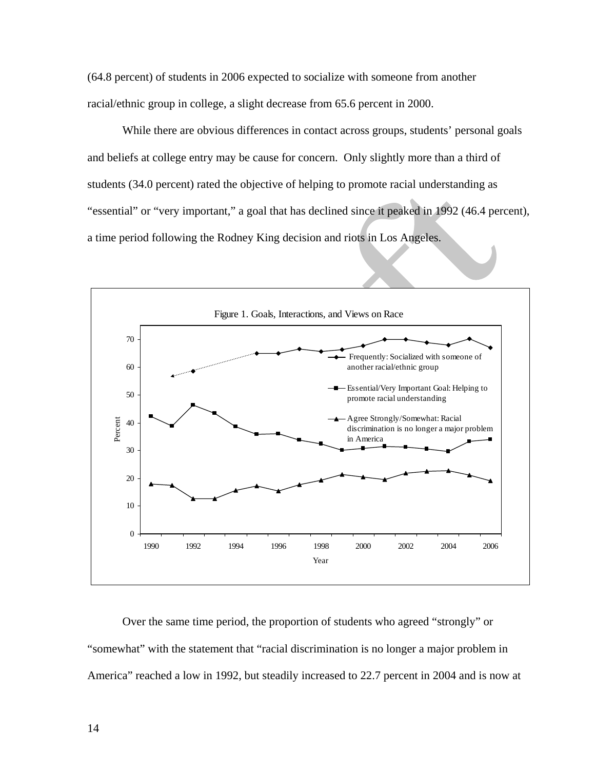(64.8 percent) of students in 2006 expected to socialize with someone from another racial/ethnic group in college, a slight decrease from 65.6 percent in 2000.

 While there are obvious differences in contact across groups, students' personal goals and beliefs at college entry may be cause for concern. Only slightly more than a third of students (34.0 percent) rated the objective of helping to promote racial understanding as "essential" or "very important," a goal that has declined since it peaked in 1992 (46.4 percent), a time period following the Rodney King decision and riots in Los Angeles.



Over the same time period, the proportion of students who agreed "strongly" or "somewhat" with the statement that "racial discrimination is no longer a major problem in America" reached a low in 1992, but steadily increased to 22.7 percent in 2004 and is now at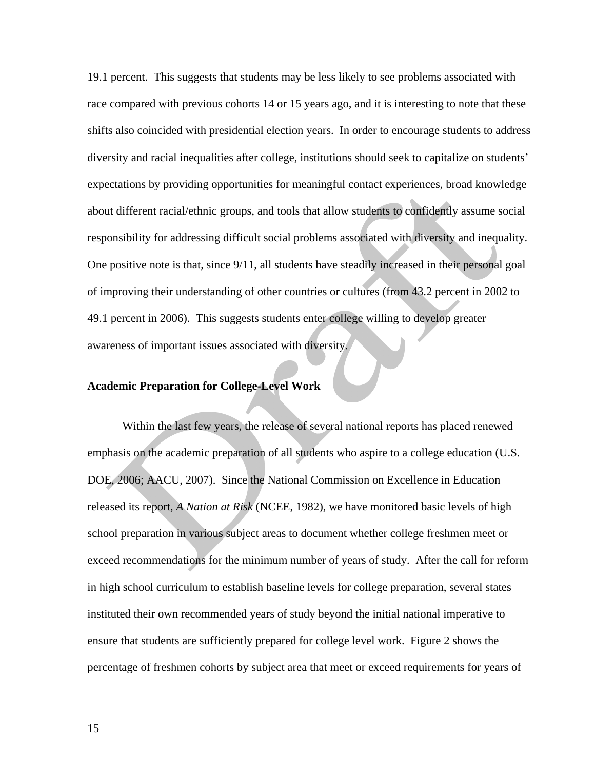19.1 percent. This suggests that students may be less likely to see problems associated with race compared with previous cohorts 14 or 15 years ago, and it is interesting to note that these shifts also coincided with presidential election years. In order to encourage students to address diversity and racial inequalities after college, institutions should seek to capitalize on students' expectations by providing opportunities for meaningful contact experiences, broad knowledge about different racial/ethnic groups, and tools that allow students to confidently assume social responsibility for addressing difficult social problems associated with diversity and inequality. One positive note is that, since 9/11, all students have steadily increased in their personal goal of improving their understanding of other countries or cultures (from 43.2 percent in 2002 to 49.1 percent in 2006). This suggests students enter college willing to develop greater awareness of important issues associated with diversity.

#### **Academic Preparation for College-Level Work**

 Within the last few years, the release of several national reports has placed renewed emphasis on the academic preparation of all students who aspire to a college education (U.S. DOE, 2006; AACU, 2007). Since the National Commission on Excellence in Education released its report, *A Nation at Risk* (NCEE, 1982), we have monitored basic levels of high school preparation in various subject areas to document whether college freshmen meet or exceed recommendations for the minimum number of years of study. After the call for reform in high school curriculum to establish baseline levels for college preparation, several states instituted their own recommended years of study beyond the initial national imperative to ensure that students are sufficiently prepared for college level work. Figure 2 shows the percentage of freshmen cohorts by subject area that meet or exceed requirements for years of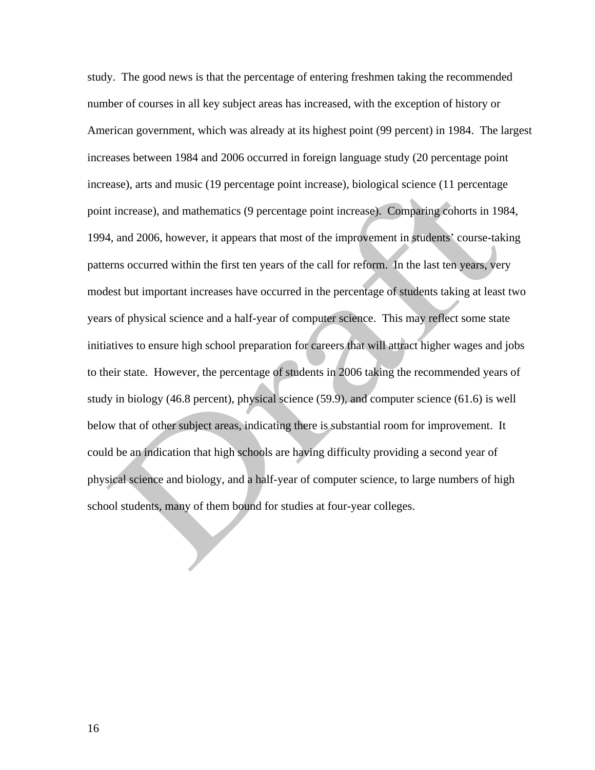study. The good news is that the percentage of entering freshmen taking the recommended number of courses in all key subject areas has increased, with the exception of history or American government, which was already at its highest point (99 percent) in 1984. The largest increases between 1984 and 2006 occurred in foreign language study (20 percentage point increase), arts and music (19 percentage point increase), biological science (11 percentage point increase), and mathematics (9 percentage point increase). Comparing cohorts in 1984, 1994, and 2006, however, it appears that most of the improvement in students' course-taking patterns occurred within the first ten years of the call for reform. In the last ten years, very modest but important increases have occurred in the percentage of students taking at least two years of physical science and a half-year of computer science. This may reflect some state initiatives to ensure high school preparation for careers that will attract higher wages and jobs to their state. However, the percentage of students in 2006 taking the recommended years of study in biology (46.8 percent), physical science (59.9), and computer science (61.6) is well below that of other subject areas, indicating there is substantial room for improvement. It could be an indication that high schools are having difficulty providing a second year of physical science and biology, and a half-year of computer science, to large numbers of high school students, many of them bound for studies at four-year colleges.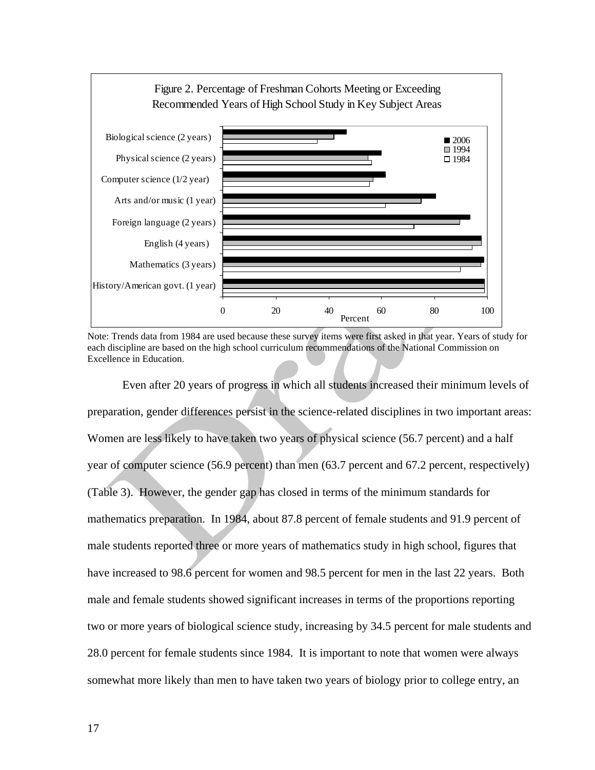

Note: Trends data from 1984 are used because these survey items were first asked in that year. Years of study for each discipline are based on the high school curriculum recommendations of the National Commission on Excellence in Education.

 Even after 20 years of progress in which all students increased their minimum levels of preparation, gender differences persist in the science-related disciplines in two important areas: Women are less likely to have taken two years of physical science (56.7 percent) and a half year of computer science (56.9 percent) than men (63.7 percent and 67.2 percent, respectively) (Table 3). However, the gender gap has closed in terms of the minimum standards for mathematics preparation. In 1984, about 87.8 percent of female students and 91.9 percent of male students reported three or more years of mathematics study in high school, figures that have increased to 98.6 percent for women and 98.5 percent for men in the last 22 years. Both male and female students showed significant increases in terms of the proportions reporting two or more years of biological science study, increasing by 34.5 percent for male students and 28.0 percent for female students since 1984. It is important to note that women were always somewhat more likely than men to have taken two years of biology prior to college entry, an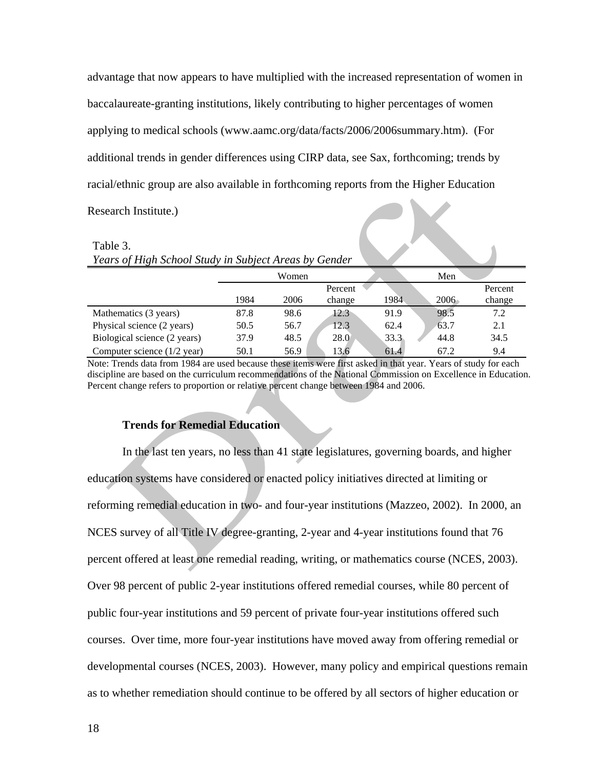advantage that now appears to have multiplied with the increased representation of women in baccalaureate-granting institutions, likely contributing to higher percentages of women applying to medical schools (www.aamc.org/data/facts/2006/2006summary.htm). (For additional trends in gender differences using CIRP data, see Sax, forthcoming; trends by racial/ethnic group are also available in forthcoming reports from the Higher Education  $\overline{\phantom{a}}$ Research Institute.)

| Table 3.                                              |      |       |         |      |      |         |  |  |
|-------------------------------------------------------|------|-------|---------|------|------|---------|--|--|
| Years of High School Study in Subject Areas by Gender |      |       |         |      |      |         |  |  |
|                                                       |      | Women |         |      | Men  |         |  |  |
|                                                       |      |       | Percent |      |      | Percent |  |  |
|                                                       | 1984 | 2006  | change  | 1984 | 2006 | change  |  |  |
| Mathematics (3 years)                                 | 87.8 | 98.6  | 12.3    | 91.9 | 98.5 | 7.2     |  |  |
| Physical science (2 years)                            | 50.5 | 56.7  | 12.3    | 62.4 | 63.7 | 2.1     |  |  |
| Biological science (2 years)                          | 37.9 | 48.5  | 28.0    | 33.3 | 44.8 | 34.5    |  |  |
| Computer science (1/2 year)                           | 50.1 | 56.9  | 13.6    | 61.4 | 67.2 | 9.4     |  |  |

Note: Trends data from 1984 are used because these items were first asked in that year. Years of study for each discipline are based on the curriculum recommendations of the National Commission on Excellence in Education. Percent change refers to proportion or relative percent change between 1984 and 2006.

#### **Trends for Remedial Education**

In the last ten years, no less than 41 state legislatures, governing boards, and higher education systems have considered or enacted policy initiatives directed at limiting or reforming remedial education in two- and four-year institutions (Mazzeo, 2002). In 2000, an NCES survey of all Title IV degree-granting, 2-year and 4-year institutions found that 76 percent offered at least one remedial reading, writing, or mathematics course (NCES, 2003). Over 98 percent of public 2-year institutions offered remedial courses, while 80 percent of public four-year institutions and 59 percent of private four-year institutions offered such courses. Over time, more four-year institutions have moved away from offering remedial or developmental courses (NCES, 2003). However, many policy and empirical questions remain as to whether remediation should continue to be offered by all sectors of higher education or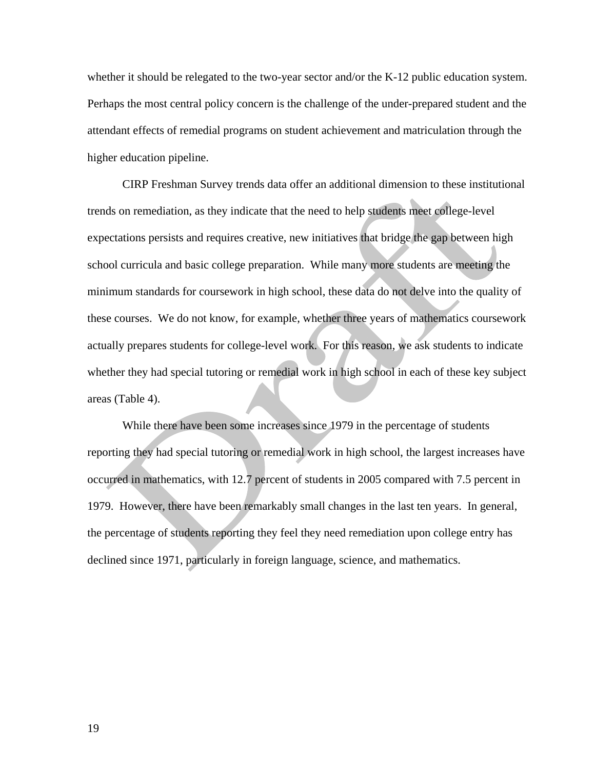whether it should be relegated to the two-year sector and/or the K-12 public education system. Perhaps the most central policy concern is the challenge of the under-prepared student and the attendant effects of remedial programs on student achievement and matriculation through the higher education pipeline.

CIRP Freshman Survey trends data offer an additional dimension to these institutional trends on remediation, as they indicate that the need to help students meet college-level expectations persists and requires creative, new initiatives that bridge the gap between high school curricula and basic college preparation. While many more students are meeting the minimum standards for coursework in high school, these data do not delve into the quality of these courses. We do not know, for example, whether three years of mathematics coursework actually prepares students for college-level work. For this reason, we ask students to indicate whether they had special tutoring or remedial work in high school in each of these key subject areas (Table 4).

While there have been some increases since 1979 in the percentage of students reporting they had special tutoring or remedial work in high school, the largest increases have occurred in mathematics, with 12.7 percent of students in 2005 compared with 7.5 percent in 1979. However, there have been remarkably small changes in the last ten years. In general, the percentage of students reporting they feel they need remediation upon college entry has declined since 1971, particularly in foreign language, science, and mathematics.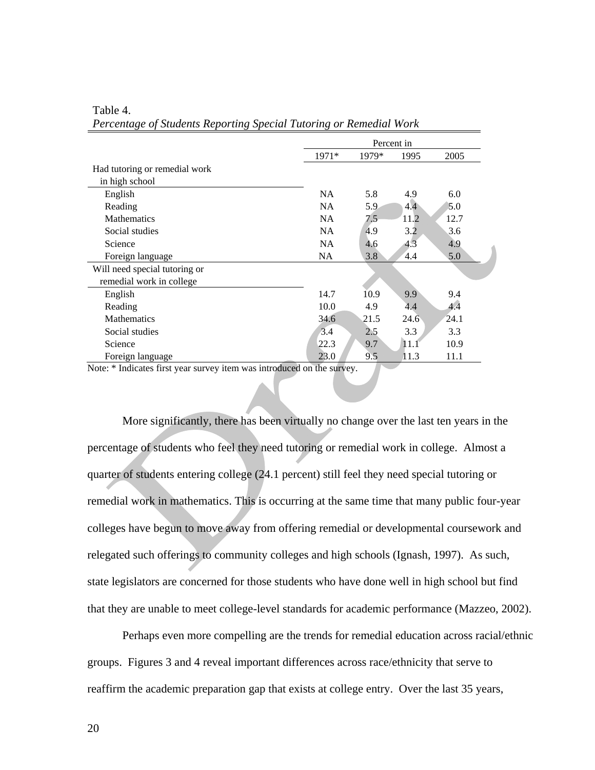| Percent in |       |      |      |  |
|------------|-------|------|------|--|
| $1971*$    | 1979* | 1995 | 2005 |  |
|            |       |      |      |  |
|            |       |      |      |  |
| <b>NA</b>  | 5.8   | 4.9  | 6.0  |  |
| <b>NA</b>  | 5.9   | 4.4  | 5.0  |  |
| <b>NA</b>  | 7.5   | 11.2 | 12.7 |  |
| <b>NA</b>  | 4.9   | 3.2  | 3.6  |  |
| <b>NA</b>  | 4.6   | 4.3  | 4.9  |  |
| NA         | 3.8   | 4.4  | 5.0  |  |
|            |       |      |      |  |
|            |       |      |      |  |
| 14.7       | 10.9  | 9.9  | 9.4  |  |
| 10.0       | 4.9   | 4.4  | 4.4  |  |
| 34.6       | 21.5  | 24.6 | 24.1 |  |
| 3.4        | 2.5   | 3.3  | 3.3  |  |
| 22.3       | 9.7   | 11.1 | 10.9 |  |
| 23.0       | 9.5   | 11.3 | 11.1 |  |
|            |       |      |      |  |

Table 4. *Percentage of Students Reporting Special Tutoring or Remedial Work*

Note: \* Indicates first year survey item was introduced on the survey.

 More significantly, there has been virtually no change over the last ten years in the percentage of students who feel they need tutoring or remedial work in college. Almost a quarter of students entering college (24.1 percent) still feel they need special tutoring or remedial work in mathematics. This is occurring at the same time that many public four-year colleges have begun to move away from offering remedial or developmental coursework and relegated such offerings to community colleges and high schools (Ignash, 1997). As such, state legislators are concerned for those students who have done well in high school but find that they are unable to meet college-level standards for academic performance (Mazzeo, 2002).

Perhaps even more compelling are the trends for remedial education across racial/ethnic groups. Figures 3 and 4 reveal important differences across race/ethnicity that serve to reaffirm the academic preparation gap that exists at college entry. Over the last 35 years,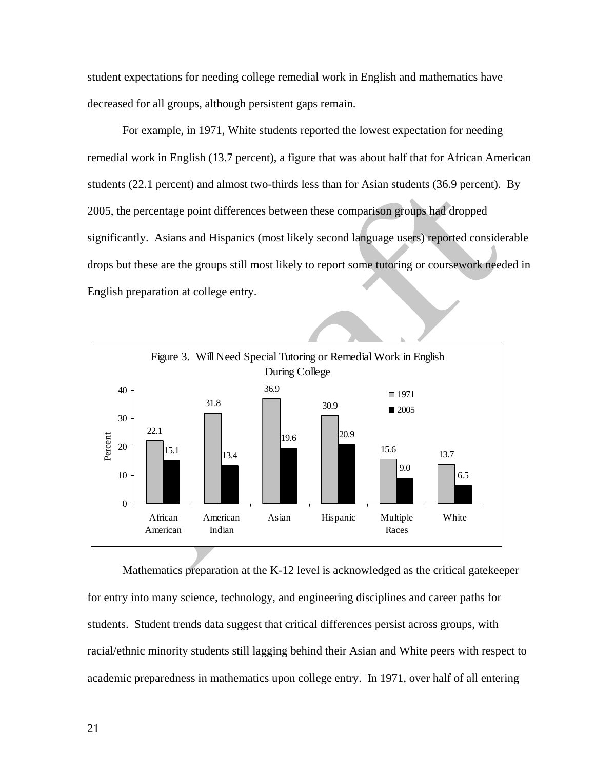student expectations for needing college remedial work in English and mathematics have decreased for all groups, although persistent gaps remain.

For example, in 1971, White students reported the lowest expectation for needing remedial work in English (13.7 percent), a figure that was about half that for African American students (22.1 percent) and almost two-thirds less than for Asian students (36.9 percent). By 2005, the percentage point differences between these comparison groups had dropped significantly. Asians and Hispanics (most likely second language users) reported considerable drops but these are the groups still most likely to report some tutoring or coursework needed in English preparation at college entry.



Mathematics preparation at the K-12 level is acknowledged as the critical gatekeeper for entry into many science, technology, and engineering disciplines and career paths for students. Student trends data suggest that critical differences persist across groups, with racial/ethnic minority students still lagging behind their Asian and White peers with respect to academic preparedness in mathematics upon college entry. In 1971, over half of all entering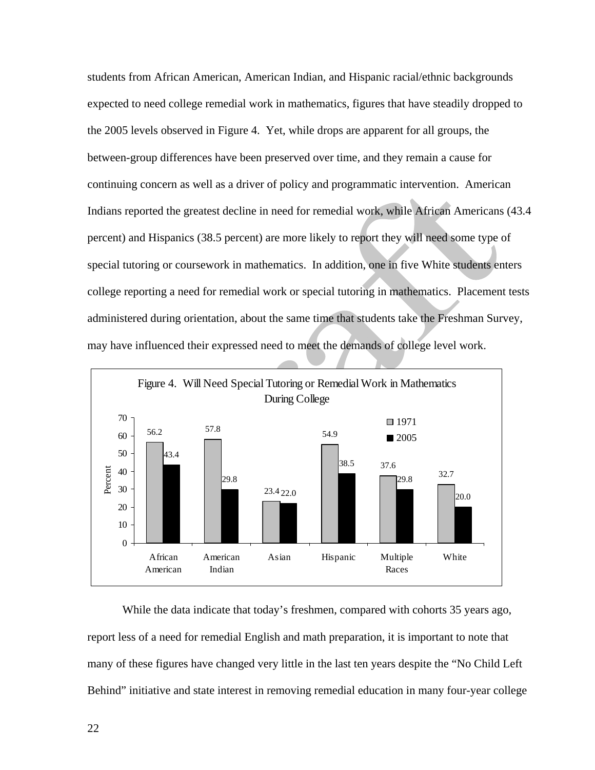students from African American, American Indian, and Hispanic racial/ethnic backgrounds expected to need college remedial work in mathematics, figures that have steadily dropped to the 2005 levels observed in Figure 4. Yet, while drops are apparent for all groups, the between-group differences have been preserved over time, and they remain a cause for continuing concern as well as a driver of policy and programmatic intervention. American Indians reported the greatest decline in need for remedial work, while African Americans (43.4 percent) and Hispanics (38.5 percent) are more likely to report they will need some type of special tutoring or coursework in mathematics. In addition, one in five White students enters college reporting a need for remedial work or special tutoring in mathematics. Placement tests administered during orientation, about the same time that students take the Freshman Survey, may have influenced their expressed need to meet the demands of college level work.



While the data indicate that today's freshmen, compared with cohorts 35 years ago, report less of a need for remedial English and math preparation, it is important to note that many of these figures have changed very little in the last ten years despite the "No Child Left Behind" initiative and state interest in removing remedial education in many four-year college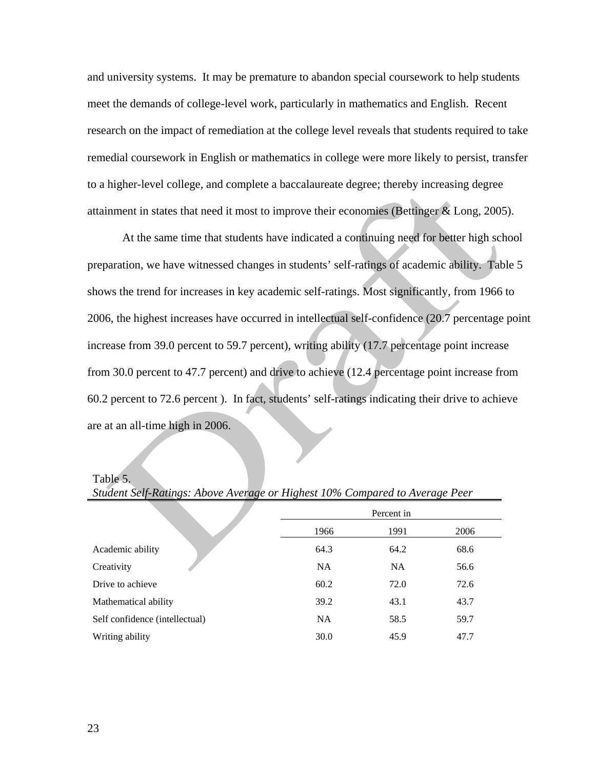and university systems. It may be premature to abandon special coursework to help students meet the demands of college-level work, particularly in mathematics and English. Recent research on the impact of remediation at the college level reveals that students required to take remedial coursework in English or mathematics in college were more likely to persist, transfer to a higher-level college, and complete a baccalaureate degree; thereby increasing degree attainment in states that need it most to improve their economies (Bettinger & Long, 2005).

 At the same time that students have indicated a continuing need for better high school preparation, we have witnessed changes in students' self-ratings of academic ability. Table 5 shows the trend for increases in key academic self-ratings. Most significantly, from 1966 to 2006, the highest increases have occurred in intellectual self-confidence (20.7 percentage point increase from 39.0 percent to 59.7 percent), writing ability (17.7 percentage point increase from 30.0 percent to 47.7 percent) and drive to achieve (12.4 percentage point increase from 60.2 percent to 72.6 percent ). In fact, students' self-ratings indicating their drive to achieve are at an all-time high in 2006.

Table 5.

|                                | Percent in |           |      |  |  |
|--------------------------------|------------|-----------|------|--|--|
|                                | 1966       | 1991      | 2006 |  |  |
| Academic ability               | 64.3       | 64.2      | 68.6 |  |  |
| Creativity                     | <b>NA</b>  | <b>NA</b> | 56.6 |  |  |
| Drive to achieve               | 60.2       | 72.0      | 72.6 |  |  |
| Mathematical ability           | 39.2       | 43.1      | 43.7 |  |  |
| Self confidence (intellectual) | <b>NA</b>  | 58.5      | 59.7 |  |  |
| Writing ability                | 30.0       | 45.9      | 47.7 |  |  |

*Student Self-Ratings: Above Average or Highest 10% Compared to Average Peer*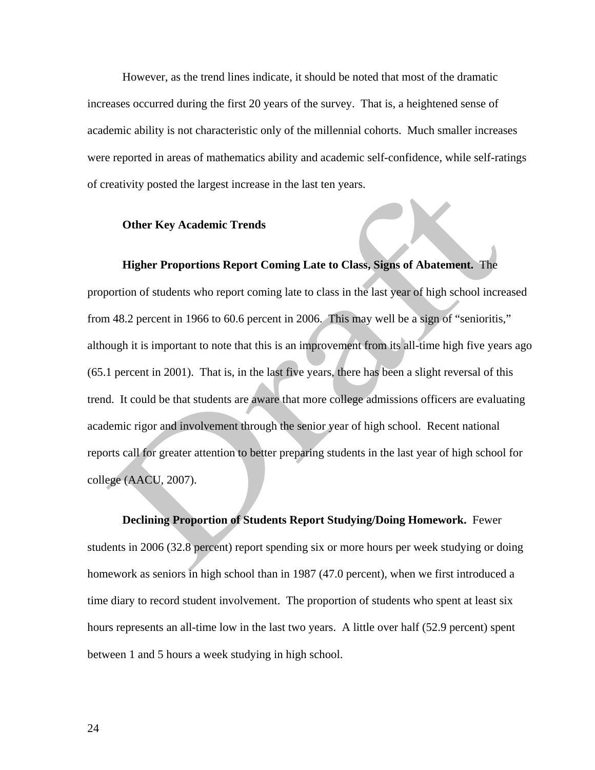However, as the trend lines indicate, it should be noted that most of the dramatic increases occurred during the first 20 years of the survey. That is, a heightened sense of academic ability is not characteristic only of the millennial cohorts. Much smaller increases were reported in areas of mathematics ability and academic self-confidence, while self-ratings of creativity posted the largest increase in the last ten years.

#### **Other Key Academic Trends**

#### **Higher Proportions Report Coming Late to Class, Signs of Abatement.** The

proportion of students who report coming late to class in the last year of high school increased from 48.2 percent in 1966 to 60.6 percent in 2006. This may well be a sign of "senioritis," although it is important to note that this is an improvement from its all-time high five years ago (65.1 percent in 2001). That is, in the last five years, there has been a slight reversal of this trend. It could be that students are aware that more college admissions officers are evaluating academic rigor and involvement through the senior year of high school. Recent national reports call for greater attention to better preparing students in the last year of high school for college (AACU, 2007).

**Declining Proportion of Students Report Studying/Doing Homework.** Fewer students in 2006 (32.8 percent) report spending six or more hours per week studying or doing homework as seniors in high school than in 1987 (47.0 percent), when we first introduced a time diary to record student involvement. The proportion of students who spent at least six hours represents an all-time low in the last two years. A little over half (52.9 percent) spent between 1 and 5 hours a week studying in high school.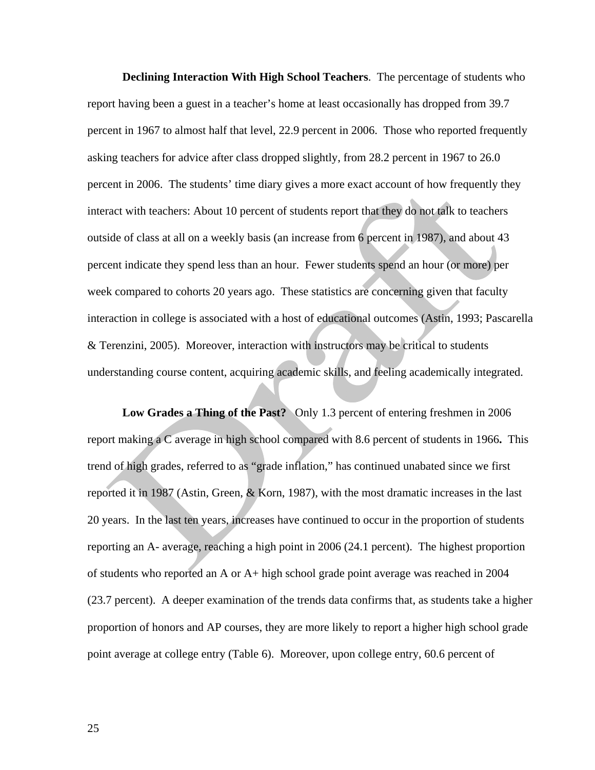**Declining Interaction With High School Teachers**. The percentage of students who report having been a guest in a teacher's home at least occasionally has dropped from 39.7 percent in 1967 to almost half that level, 22.9 percent in 2006. Those who reported frequently asking teachers for advice after class dropped slightly, from 28.2 percent in 1967 to 26.0 percent in 2006. The students' time diary gives a more exact account of how frequently they interact with teachers: About 10 percent of students report that they do not talk to teachers outside of class at all on a weekly basis (an increase from 6 percent in 1987), and about 43 percent indicate they spend less than an hour. Fewer students spend an hour (or more) per week compared to cohorts 20 years ago. These statistics are concerning given that faculty interaction in college is associated with a host of educational outcomes (Astin, 1993; Pascarella & Terenzini, 2005). Moreover, interaction with instructors may be critical to students understanding course content, acquiring academic skills, and feeling academically integrated.

**Low Grades a Thing of the Past?** Only 1.3 percent of entering freshmen in 2006 report making a C average in high school compared with 8.6 percent of students in 1966**.** This trend of high grades, referred to as "grade inflation," has continued unabated since we first reported it in 1987 (Astin, Green, & Korn, 1987), with the most dramatic increases in the last 20 years. In the last ten years, increases have continued to occur in the proportion of students reporting an A- average, reaching a high point in 2006 (24.1 percent). The highest proportion of students who reported an A or A+ high school grade point average was reached in 2004 (23.7 percent). A deeper examination of the trends data confirms that, as students take a higher proportion of honors and AP courses, they are more likely to report a higher high school grade point average at college entry (Table 6). Moreover, upon college entry, 60.6 percent of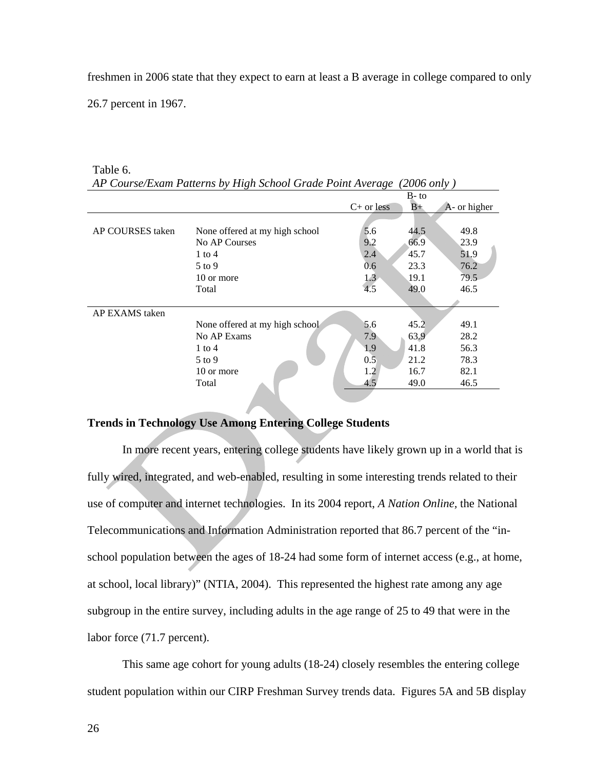freshmen in 2006 state that they expect to earn at least a B average in college compared to only

26.7 percent in 1967.

| AP Course/Exam Patterns by High School Grade Point Average<br>(2006 only ) |                                |                  |         |              |  |  |  |
|----------------------------------------------------------------------------|--------------------------------|------------------|---------|--------------|--|--|--|
|                                                                            |                                |                  | $B$ -to |              |  |  |  |
|                                                                            |                                | $C+$ or less     | $B+$    | A- or higher |  |  |  |
|                                                                            |                                |                  |         |              |  |  |  |
| AP COURSES taken                                                           | None offered at my high school | 5.6              | 44.5    | 49.8         |  |  |  |
|                                                                            | No AP Courses                  | 9.2              | 66.9    | 23.9         |  |  |  |
|                                                                            | $1$ to $4$                     | 2.4              | 45.7    | 51.9         |  |  |  |
|                                                                            | $5 \text{ to } 9$              | 0.6              | 23.3    | 76.2         |  |  |  |
|                                                                            | 10 or more                     | 1.3 <sup>2</sup> | 19.1    | 79.5         |  |  |  |
|                                                                            | Total                          | 4.5              | 49.0    | 46.5         |  |  |  |
|                                                                            |                                |                  |         |              |  |  |  |
| AP EXAMS taken                                                             |                                |                  |         |              |  |  |  |
|                                                                            | None offered at my high school | 5.6              | 45.2    | 49.1         |  |  |  |
|                                                                            | No AP Exams                    | 7.9              | 63.9    | 28.2         |  |  |  |
|                                                                            | $1$ to $4$                     | 1.9              | 41.8    | 56.3         |  |  |  |
|                                                                            | $5$ to 9                       | 0.5              | 21.2    | 78.3         |  |  |  |
|                                                                            | 10 or more                     | 1.2              | 16.7    | 82.1         |  |  |  |
|                                                                            | Total                          | 4.5              | 49.0    | 46.5         |  |  |  |

#### Table 6. *AP Course/Exam Patterns by High School Grade Point Average (2006 only )*

#### **Trends in Technology Use Among Entering College Students**

In more recent years, entering college students have likely grown up in a world that is fully wired, integrated, and web-enabled, resulting in some interesting trends related to their use of computer and internet technologies. In its 2004 report, *A Nation Online,* the National Telecommunications and Information Administration reported that 86.7 percent of the "inschool population between the ages of 18-24 had some form of internet access (e.g., at home, at school, local library)" (NTIA, 2004). This represented the highest rate among any age subgroup in the entire survey, including adults in the age range of 25 to 49 that were in the labor force (71.7 percent).

 This same age cohort for young adults (18-24) closely resembles the entering college student population within our CIRP Freshman Survey trends data. Figures 5A and 5B display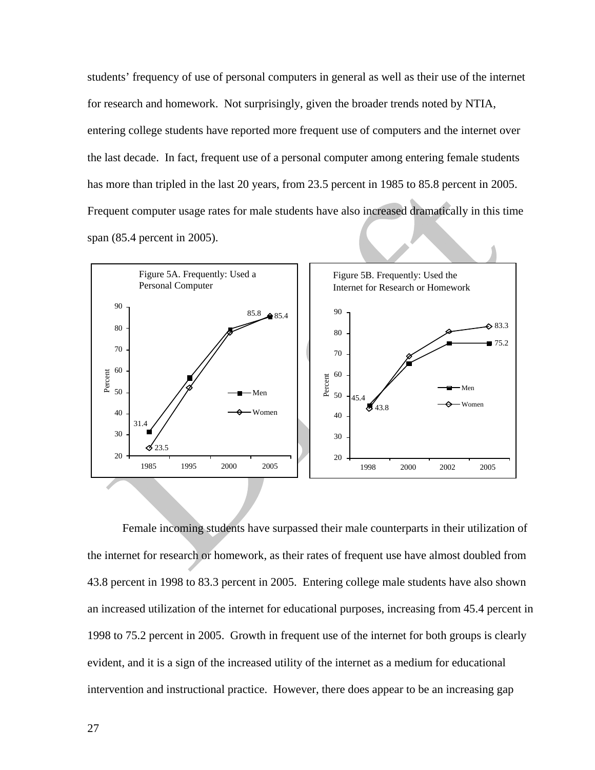students' frequency of use of personal computers in general as well as their use of the internet for research and homework. Not surprisingly, given the broader trends noted by NTIA, entering college students have reported more frequent use of computers and the internet over the last decade. In fact, frequent use of a personal computer among entering female students has more than tripled in the last 20 years, from 23.5 percent in 1985 to 85.8 percent in 2005. Frequent computer usage rates for male students have also increased dramatically in this time span (85.4 percent in 2005).



Female incoming students have surpassed their male counterparts in their utilization of the internet for research or homework, as their rates of frequent use have almost doubled from 43.8 percent in 1998 to 83.3 percent in 2005. Entering college male students have also shown an increased utilization of the internet for educational purposes, increasing from 45.4 percent in 1998 to 75.2 percent in 2005. Growth in frequent use of the internet for both groups is clearly evident, and it is a sign of the increased utility of the internet as a medium for educational intervention and instructional practice. However, there does appear to be an increasing gap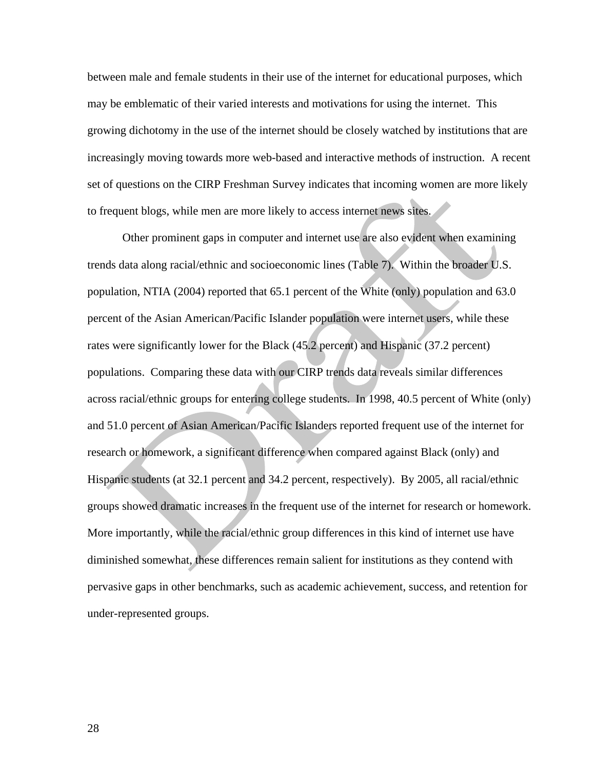between male and female students in their use of the internet for educational purposes, which may be emblematic of their varied interests and motivations for using the internet. This growing dichotomy in the use of the internet should be closely watched by institutions that are increasingly moving towards more web-based and interactive methods of instruction. A recent set of questions on the CIRP Freshman Survey indicates that incoming women are more likely to frequent blogs, while men are more likely to access internet news sites.

 Other prominent gaps in computer and internet use are also evident when examining trends data along racial/ethnic and socioeconomic lines (Table 7). Within the broader U.S. population, NTIA (2004) reported that 65.1 percent of the White (only) population and 63.0 percent of the Asian American/Pacific Islander population were internet users, while these rates were significantly lower for the Black (45.2 percent) and Hispanic (37.2 percent) populations. Comparing these data with our CIRP trends data reveals similar differences across racial/ethnic groups for entering college students. In 1998, 40.5 percent of White (only) and 51.0 percent of Asian American/Pacific Islanders reported frequent use of the internet for research or homework, a significant difference when compared against Black (only) and Hispanic students (at 32.1 percent and 34.2 percent, respectively). By 2005, all racial/ethnic groups showed dramatic increases in the frequent use of the internet for research or homework. More importantly, while the racial/ethnic group differences in this kind of internet use have diminished somewhat, these differences remain salient for institutions as they contend with pervasive gaps in other benchmarks, such as academic achievement, success, and retention for under-represented groups.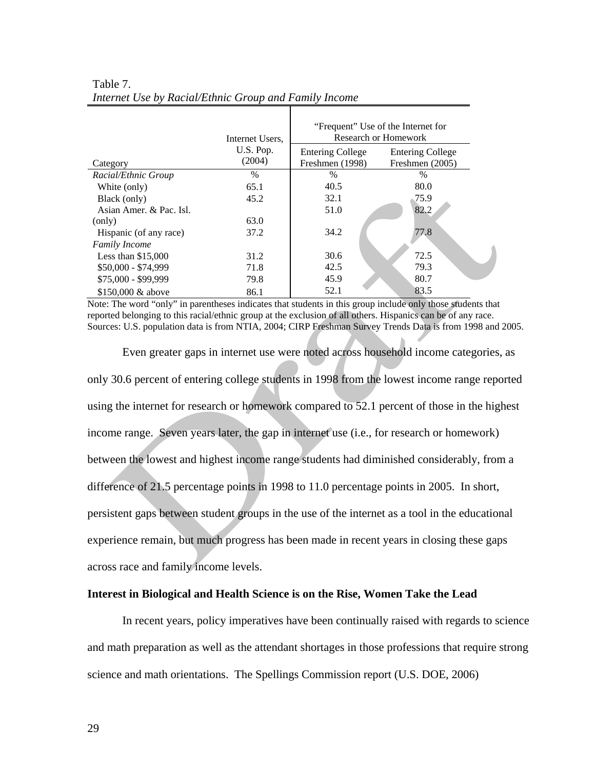|                         | Internet Users, |                         | "Frequent" Use of the Internet for<br>Research or Homework |
|-------------------------|-----------------|-------------------------|------------------------------------------------------------|
|                         | U.S. Pop.       | <b>Entering College</b> | <b>Entering College</b>                                    |
| Category                | (2004)          | Freshmen (1998)         | Freshmen (2005)                                            |
| Racial/Ethnic Group     | $\frac{0}{0}$   | %                       | $\%$                                                       |
| White (only)            | 65.1            | 40.5                    | 80.0                                                       |
| Black (only)            | 45.2            | 32.1                    | 75.9                                                       |
| Asian Amer. & Pac. Isl. |                 | 51.0                    | 82.2                                                       |
| (only)                  | 63.0            |                         |                                                            |
| Hispanic (of any race)  | 37.2            | 34.2                    | 77.8                                                       |
| <b>Family Income</b>    |                 |                         |                                                            |
| Less than $$15,000$     | 31.2            | 30.6                    | 72.5                                                       |
| $$50,000 - $74,999$     | 71.8            | 42.5                    | 79.3                                                       |
| $$75,000 - $99,999$     | 79.8            | 45.9                    | 80.7                                                       |
| \$150,000 & above       | 86.1            | 52.1                    | 83.5                                                       |

#### Table 7. *Internet Use by Racial/Ethnic Group and Family Income*

Note: The word "only" in parentheses indicates that students in this group include only those students that reported belonging to this racial/ethnic group at the exclusion of all others. Hispanics can be of any race. Sources: U.S. population data is from NTIA, 2004; CIRP Freshman Survey Trends Data is from 1998 and 2005.

Even greater gaps in internet use were noted across household income categories, as only 30.6 percent of entering college students in 1998 from the lowest income range reported using the internet for research or homework compared to 52.1 percent of those in the highest income range. Seven years later, the gap in internet use (i.e., for research or homework) between the lowest and highest income range students had diminished considerably, from a difference of 21.5 percentage points in 1998 to 11.0 percentage points in 2005. In short, persistent gaps between student groups in the use of the internet as a tool in the educational experience remain, but much progress has been made in recent years in closing these gaps across race and family income levels.

#### **Interest in Biological and Health Science is on the Rise, Women Take the Lead**

 In recent years, policy imperatives have been continually raised with regards to science and math preparation as well as the attendant shortages in those professions that require strong science and math orientations. The Spellings Commission report (U.S. DOE, 2006)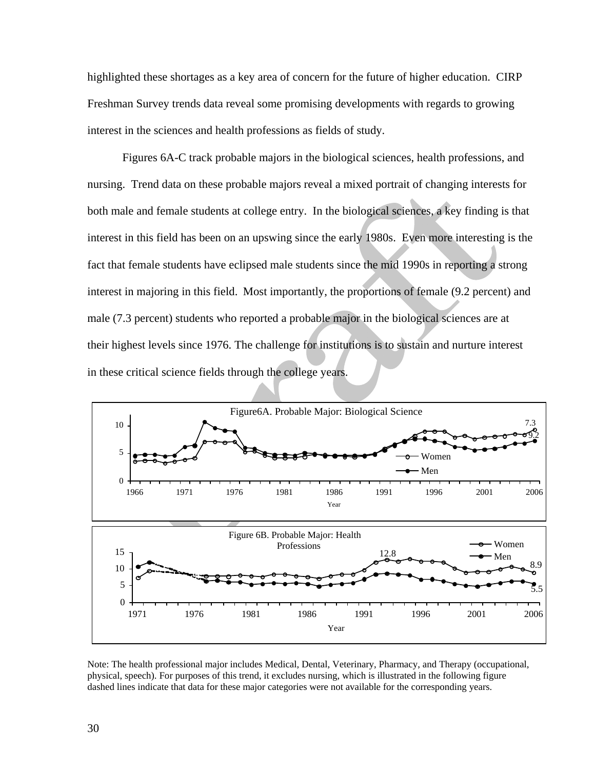highlighted these shortages as a key area of concern for the future of higher education. CIRP Freshman Survey trends data reveal some promising developments with regards to growing interest in the sciences and health professions as fields of study.

 Figures 6A-C track probable majors in the biological sciences, health professions, and nursing. Trend data on these probable majors reveal a mixed portrait of changing interests for both male and female students at college entry. In the biological sciences, a key finding is that interest in this field has been on an upswing since the early 1980s. Even more interesting is the fact that female students have eclipsed male students since the mid 1990s in reporting a strong interest in majoring in this field. Most importantly, the proportions of female (9.2 percent) and male (7.3 percent) students who reported a probable major in the biological sciences are at their highest levels since 1976. The challenge for institutions is to sustain and nurture interest in these critical science fields through the college years.



Note: The health professional major includes Medical, Dental, Veterinary, Pharmacy, and Therapy (occupational, physical, speech). For purposes of this trend, it excludes nursing, which is illustrated in the following figure dashed lines indicate that data for these major categories were not available for the corresponding years.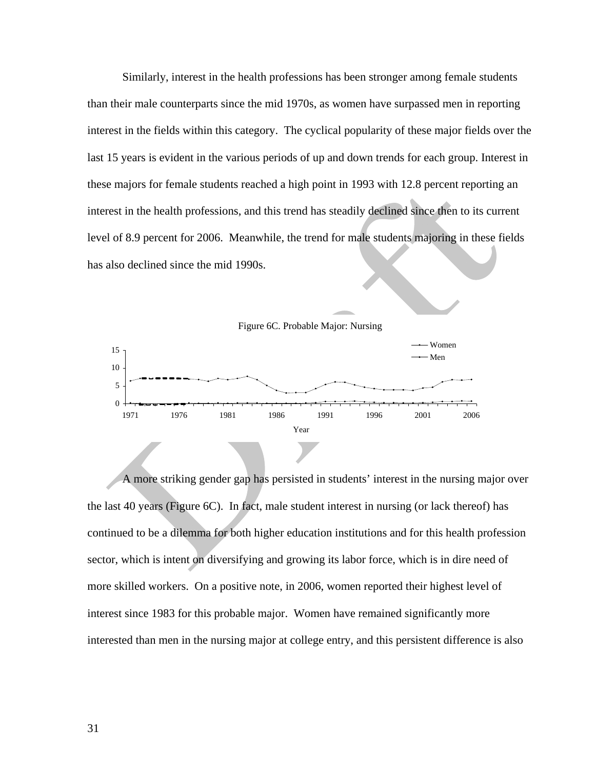Similarly, interest in the health professions has been stronger among female students than their male counterparts since the mid 1970s, as women have surpassed men in reporting interest in the fields within this category. The cyclical popularity of these major fields over the last 15 years is evident in the various periods of up and down trends for each group. Interest in these majors for female students reached a high point in 1993 with 12.8 percent reporting an interest in the health professions, and this trend has steadily declined since then to its current level of 8.9 percent for 2006. Meanwhile, the trend for male students majoring in these fields has also declined since the mid 1990s.



 A more striking gender gap has persisted in students' interest in the nursing major over the last 40 years (Figure 6C). In fact, male student interest in nursing (or lack thereof) has continued to be a dilemma for both higher education institutions and for this health profession sector, which is intent on diversifying and growing its labor force, which is in dire need of more skilled workers. On a positive note, in 2006, women reported their highest level of interest since 1983 for this probable major. Women have remained significantly more interested than men in the nursing major at college entry, and this persistent difference is also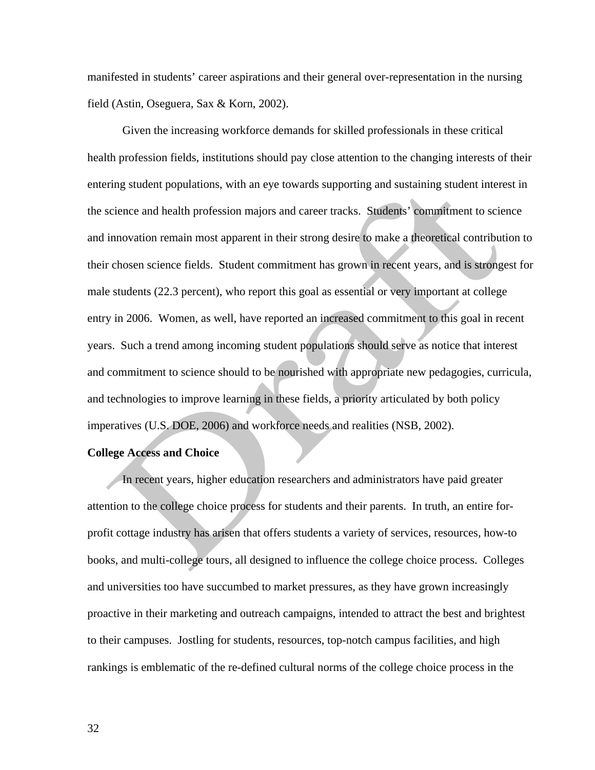manifested in students' career aspirations and their general over-representation in the nursing field (Astin, Oseguera, Sax & Korn, 2002).

 Given the increasing workforce demands for skilled professionals in these critical health profession fields, institutions should pay close attention to the changing interests of their entering student populations, with an eye towards supporting and sustaining student interest in the science and health profession majors and career tracks. Students' commitment to science and innovation remain most apparent in their strong desire to make a theoretical contribution to their chosen science fields. Student commitment has grown in recent years, and is strongest for male students (22.3 percent), who report this goal as essential or very important at college entry in 2006. Women, as well, have reported an increased commitment to this goal in recent years. Such a trend among incoming student populations should serve as notice that interest and commitment to science should to be nourished with appropriate new pedagogies, curricula, and technologies to improve learning in these fields, a priority articulated by both policy imperatives (U.S. DOE, 2006) and workforce needs and realities (NSB, 2002).

#### **College Access and Choice**

 In recent years, higher education researchers and administrators have paid greater attention to the college choice process for students and their parents. In truth, an entire forprofit cottage industry has arisen that offers students a variety of services, resources, how-to books, and multi-college tours, all designed to influence the college choice process. Colleges and universities too have succumbed to market pressures, as they have grown increasingly proactive in their marketing and outreach campaigns, intended to attract the best and brightest to their campuses. Jostling for students, resources, top-notch campus facilities, and high rankings is emblematic of the re-defined cultural norms of the college choice process in the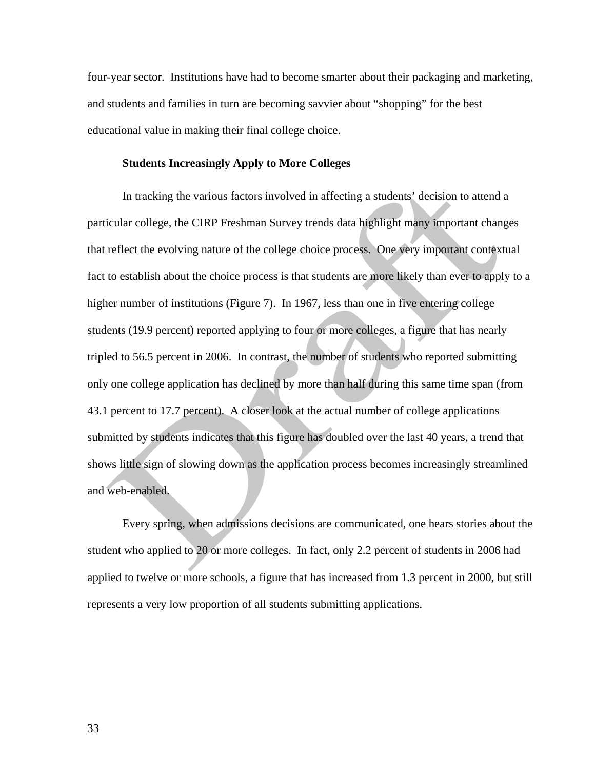four-year sector. Institutions have had to become smarter about their packaging and marketing, and students and families in turn are becoming savvier about "shopping" for the best educational value in making their final college choice.

#### **Students Increasingly Apply to More Colleges**

In tracking the various factors involved in affecting a students' decision to attend a particular college, the CIRP Freshman Survey trends data highlight many important changes that reflect the evolving nature of the college choice process. One very important contextual fact to establish about the choice process is that students are more likely than ever to apply to a higher number of institutions (Figure 7). In 1967, less than one in five entering college students (19.9 percent) reported applying to four or more colleges, a figure that has nearly tripled to 56.5 percent in 2006. In contrast, the number of students who reported submitting only one college application has declined by more than half during this same time span (from 43.1 percent to 17.7 percent). A closer look at the actual number of college applications submitted by students indicates that this figure has doubled over the last 40 years, a trend that shows little sign of slowing down as the application process becomes increasingly streamlined and web-enabled.

 Every spring, when admissions decisions are communicated, one hears stories about the student who applied to 20 or more colleges. In fact, only 2.2 percent of students in 2006 had applied to twelve or more schools, a figure that has increased from 1.3 percent in 2000, but still represents a very low proportion of all students submitting applications.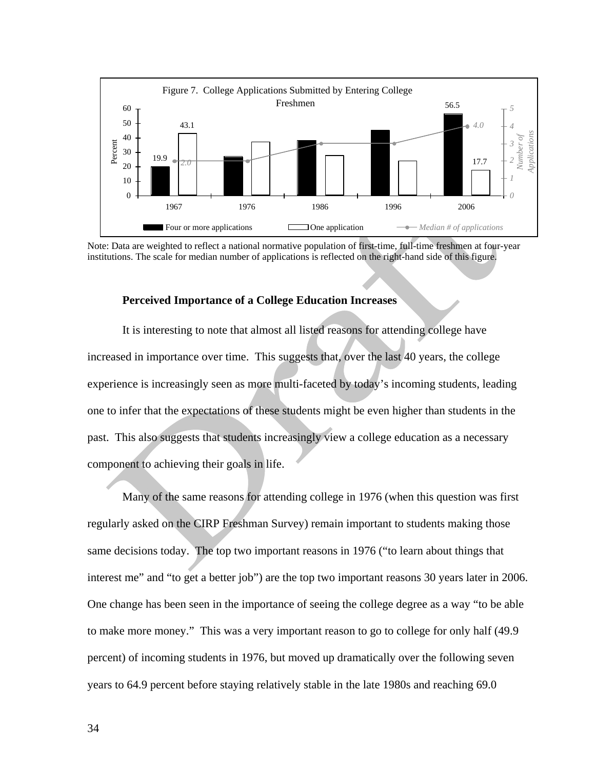

Note: Data are weighted to reflect a national normative population of first-time, full-time freshmen at four-year institutions. The scale for median number of applications is reflected on the right-hand side of this figure.

#### **Perceived Importance of a College Education Increases**

It is interesting to note that almost all listed reasons for attending college have increased in importance over time. This suggests that, over the last 40 years, the college experience is increasingly seen as more multi-faceted by today's incoming students, leading one to infer that the expectations of these students might be even higher than students in the past. This also suggests that students increasingly view a college education as a necessary component to achieving their goals in life.

Many of the same reasons for attending college in 1976 (when this question was first regularly asked on the CIRP Freshman Survey) remain important to students making those same decisions today. The top two important reasons in 1976 ("to learn about things that interest me" and "to get a better job") are the top two important reasons 30 years later in 2006. One change has been seen in the importance of seeing the college degree as a way "to be able to make more money." This was a very important reason to go to college for only half (49.9 percent) of incoming students in 1976, but moved up dramatically over the following seven years to 64.9 percent before staying relatively stable in the late 1980s and reaching 69.0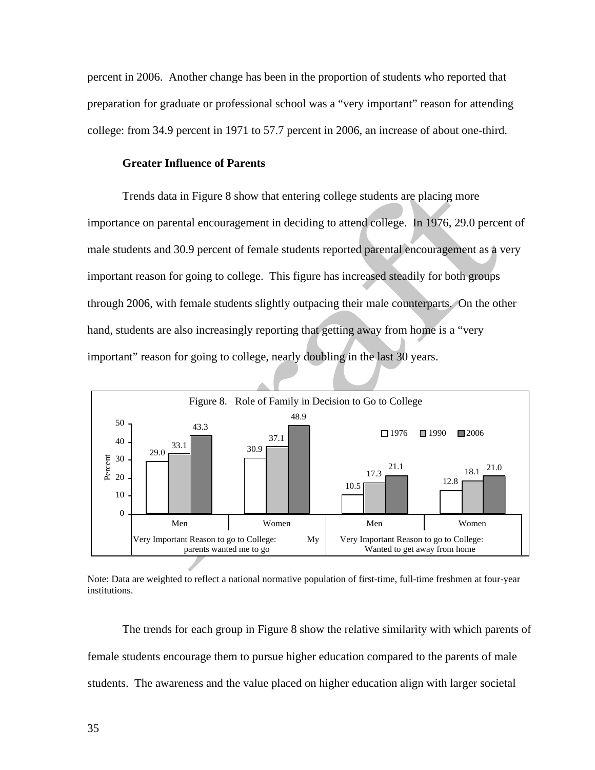percent in 2006. Another change has been in the proportion of students who reported that preparation for graduate or professional school was a "very important" reason for attending college: from 34.9 percent in 1971 to 57.7 percent in 2006, an increase of about one-third.

#### **Greater Influence of Parents**

Trends data in Figure 8 show that entering college students are placing more importance on parental encouragement in deciding to attend college. In 1976, 29.0 percent of male students and 30.9 percent of female students reported parental encouragement as a very important reason for going to college. This figure has increased steadily for both groups through 2006, with female students slightly outpacing their male counterparts. On the other hand, students are also increasingly reporting that getting away from home is a "very important" reason for going to college, nearly doubling in the last 30 years.



Note: Data are weighted to reflect a national normative population of first-time, full-time freshmen at four-year institutions.

The trends for each group in Figure 8 show the relative similarity with which parents of female students encourage them to pursue higher education compared to the parents of male students. The awareness and the value placed on higher education align with larger societal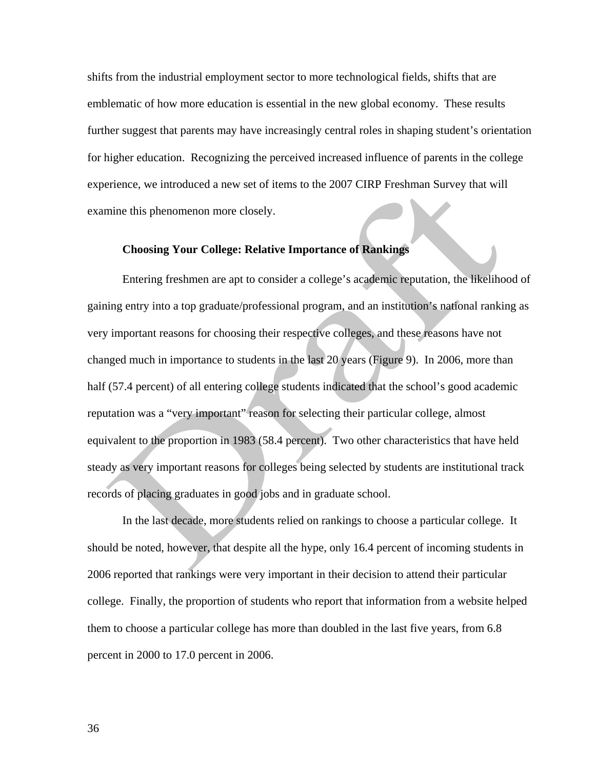shifts from the industrial employment sector to more technological fields, shifts that are emblematic of how more education is essential in the new global economy. These results further suggest that parents may have increasingly central roles in shaping student's orientation for higher education. Recognizing the perceived increased influence of parents in the college experience, we introduced a new set of items to the 2007 CIRP Freshman Survey that will examine this phenomenon more closely.

#### **Choosing Your College: Relative Importance of Rankings**

Entering freshmen are apt to consider a college's academic reputation, the likelihood of gaining entry into a top graduate/professional program, and an institution's national ranking as very important reasons for choosing their respective colleges, and these reasons have not changed much in importance to students in the last 20 years (Figure 9). In 2006, more than half (57.4 percent) of all entering college students indicated that the school's good academic reputation was a "very important" reason for selecting their particular college, almost equivalent to the proportion in 1983 (58.4 percent). Two other characteristics that have held steady as very important reasons for colleges being selected by students are institutional track records of placing graduates in good jobs and in graduate school.

In the last decade, more students relied on rankings to choose a particular college. It should be noted, however, that despite all the hype, only 16.4 percent of incoming students in 2006 reported that rankings were very important in their decision to attend their particular college. Finally, the proportion of students who report that information from a website helped them to choose a particular college has more than doubled in the last five years, from 6.8 percent in 2000 to 17.0 percent in 2006.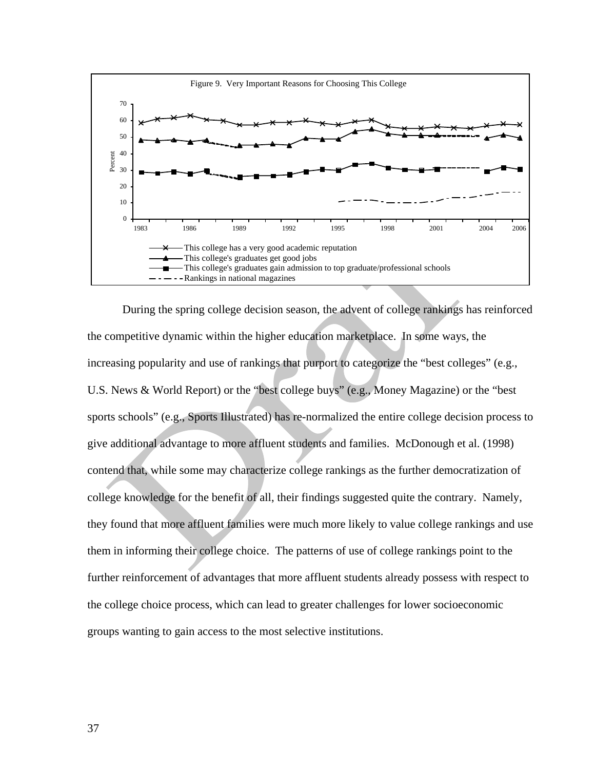

During the spring college decision season, the advent of college rankings has reinforced the competitive dynamic within the higher education marketplace. In some ways, the increasing popularity and use of rankings that purport to categorize the "best colleges" (e.g., U.S. News & World Report) or the "best college buys" (e.g., Money Magazine) or the "best sports schools" (e.g., Sports Illustrated) has re-normalized the entire college decision process to give additional advantage to more affluent students and families. McDonough et al. (1998) contend that, while some may characterize college rankings as the further democratization of college knowledge for the benefit of all, their findings suggested quite the contrary. Namely, they found that more affluent families were much more likely to value college rankings and use them in informing their college choice. The patterns of use of college rankings point to the further reinforcement of advantages that more affluent students already possess with respect to the college choice process, which can lead to greater challenges for lower socioeconomic groups wanting to gain access to the most selective institutions.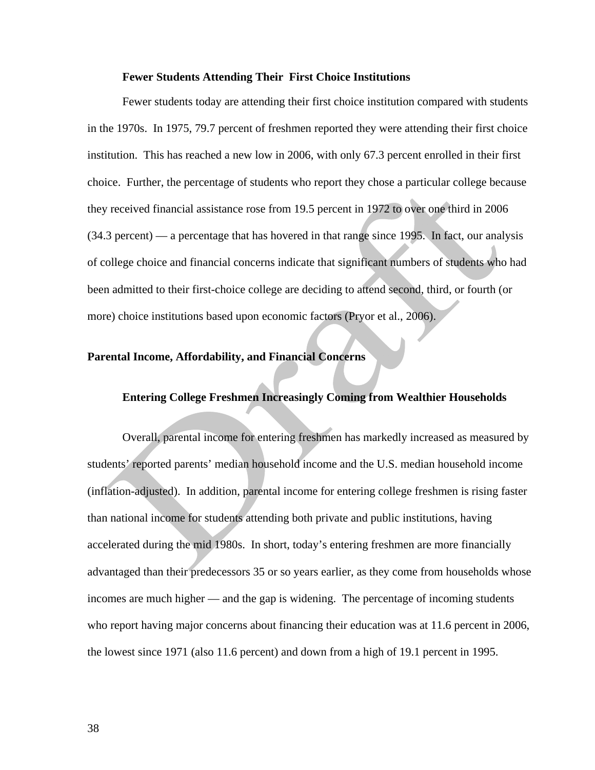#### **Fewer Students Attending Their First Choice Institutions**

 Fewer students today are attending their first choice institution compared with students in the 1970s. In 1975, 79.7 percent of freshmen reported they were attending their first choice institution. This has reached a new low in 2006, with only 67.3 percent enrolled in their first choice. Further, the percentage of students who report they chose a particular college because they received financial assistance rose from 19.5 percent in 1972 to over one third in 2006 (34.3 percent) — a percentage that has hovered in that range since 1995. In fact, our analysis of college choice and financial concerns indicate that significant numbers of students who had been admitted to their first-choice college are deciding to attend second, third, or fourth (or more) choice institutions based upon economic factors (Pryor et al., 2006).

#### **Parental Income, Affordability, and Financial Concerns**

#### **Entering College Freshmen Increasingly Coming from Wealthier Households**

Overall, parental income for entering freshmen has markedly increased as measured by students' reported parents' median household income and the U.S. median household income (inflation-adjusted). In addition, parental income for entering college freshmen is rising faster than national income for students attending both private and public institutions, having accelerated during the mid 1980s. In short, today's entering freshmen are more financially advantaged than their predecessors 35 or so years earlier, as they come from households whose incomes are much higher — and the gap is widening. The percentage of incoming students who report having major concerns about financing their education was at 11.6 percent in 2006, the lowest since 1971 (also 11.6 percent) and down from a high of 19.1 percent in 1995.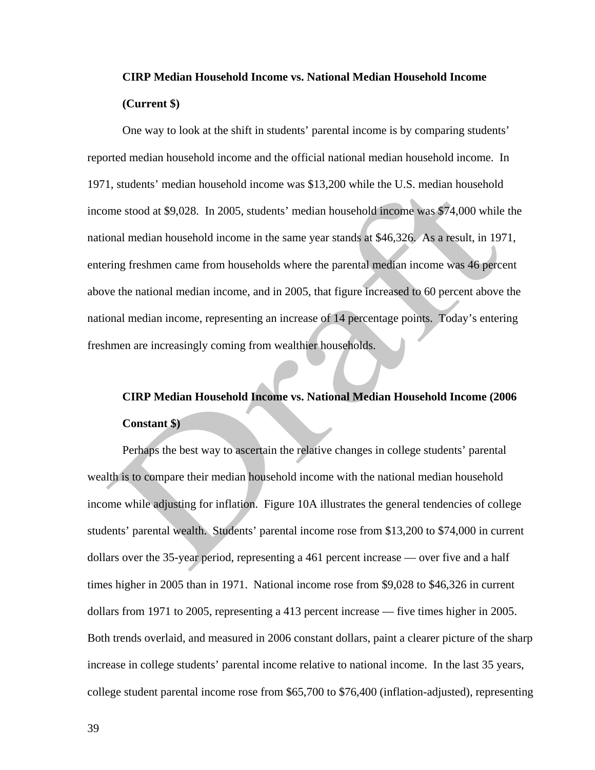# **CIRP Median Household Income vs. National Median Household Income (Current \$)**

 One way to look at the shift in students' parental income is by comparing students' reported median household income and the official national median household income. In 1971, students' median household income was \$13,200 while the U.S. median household income stood at \$9,028. In 2005, students' median household income was \$74,000 while the national median household income in the same year stands at \$46,326. As a result, in 1971, entering freshmen came from households where the parental median income was 46 percent above the national median income, and in 2005, that figure increased to 60 percent above the national median income, representing an increase of 14 percentage points. Today's entering freshmen are increasingly coming from wealthier households.

# **CIRP Median Household Income vs. National Median Household Income (2006 Constant \$)**

Perhaps the best way to ascertain the relative changes in college students' parental wealth is to compare their median household income with the national median household income while adjusting for inflation. Figure 10A illustrates the general tendencies of college students' parental wealth. Students' parental income rose from \$13,200 to \$74,000 in current dollars over the 35-year period, representing a 461 percent increase — over five and a half times higher in 2005 than in 1971. National income rose from \$9,028 to \$46,326 in current dollars from 1971 to 2005, representing a 413 percent increase — five times higher in 2005. Both trends overlaid, and measured in 2006 constant dollars, paint a clearer picture of the sharp increase in college students' parental income relative to national income. In the last 35 years, college student parental income rose from \$65,700 to \$76,400 (inflation-adjusted), representing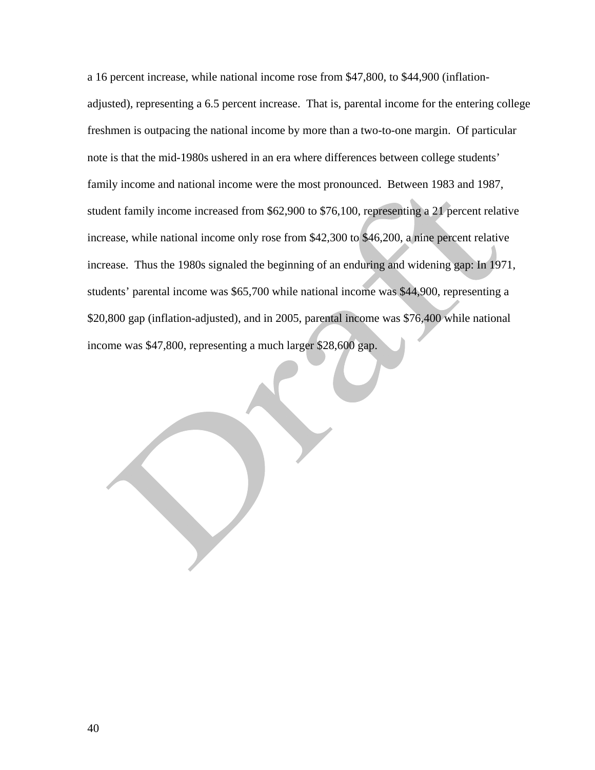a 16 percent increase, while national income rose from \$47,800, to \$44,900 (inflationadjusted), representing a 6.5 percent increase. That is, parental income for the entering college freshmen is outpacing the national income by more than a two-to-one margin. Of particular note is that the mid-1980s ushered in an era where differences between college students' family income and national income were the most pronounced. Between 1983 and 1987, student family income increased from \$62,900 to \$76,100, representing a 21 percent relative increase, while national income only rose from \$42,300 to \$46,200, a nine percent relative increase. Thus the 1980s signaled the beginning of an enduring and widening gap: In 1971, students' parental income was \$65,700 while national income was \$44,900, representing a \$20,800 gap (inflation-adjusted), and in 2005, parental income was \$76,400 while national income was \$47,800, representing a much larger \$28,600 gap.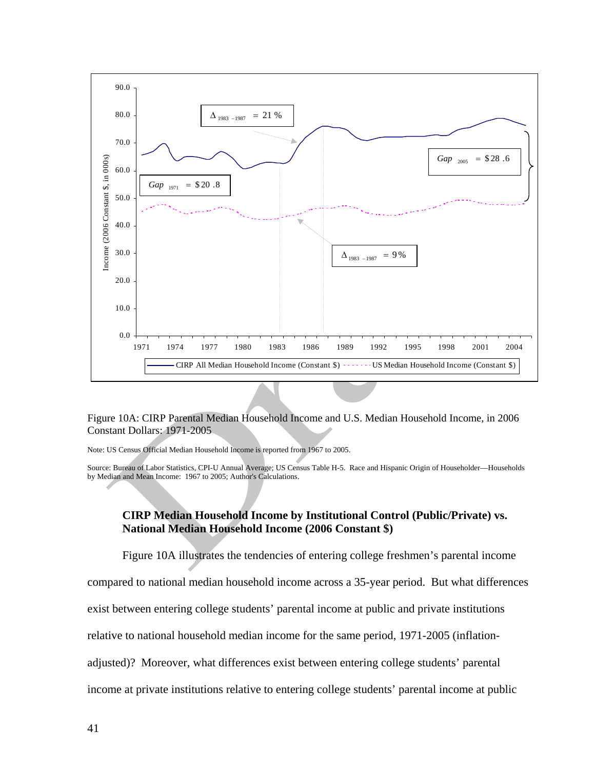

#### Figure 10A: CIRP Parental Median Household Income and U.S. Median Household Income, in 2006 Constant Dollars: 1971-2005

Note: US Census Official Median Household Income is reported from 1967 to 2005.

Source: Bureau of Labor Statistics, CPI-U Annual Average; US Census Table H-5. Race and Hispanic Origin of Householder—Households by Median and Mean Income: 1967 to 2005; Author's Calculations.

#### **CIRP Median Household Income by Institutional Control (Public/Private) vs. National Median Household Income (2006 Constant \$)**

 Figure 10A illustrates the tendencies of entering college freshmen's parental income compared to national median household income across a 35-year period. But what differences exist between entering college students' parental income at public and private institutions relative to national household median income for the same period, 1971-2005 (inflationadjusted)? Moreover, what differences exist between entering college students' parental income at private institutions relative to entering college students' parental income at public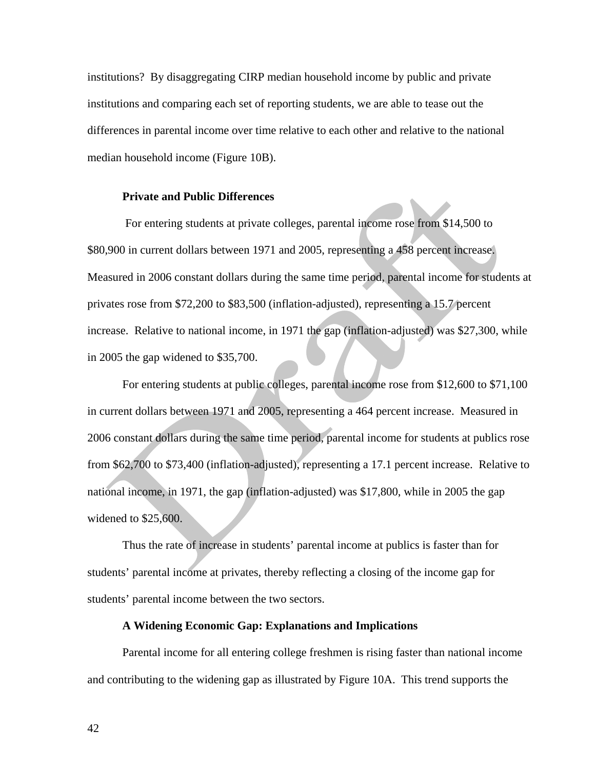institutions? By disaggregating CIRP median household income by public and private institutions and comparing each set of reporting students, we are able to tease out the differences in parental income over time relative to each other and relative to the national median household income (Figure 10B).

#### **Private and Public Differences**

For entering students at private colleges, parental income rose from \$14,500 to \$80,900 in current dollars between 1971 and 2005, representing a 458 percent increase. Measured in 2006 constant dollars during the same time period, parental income for students at privates rose from \$72,200 to \$83,500 (inflation-adjusted), representing a 15.7 percent increase. Relative to national income, in 1971 the gap (inflation-adjusted) was \$27,300, while in 2005 the gap widened to \$35,700.

For entering students at public colleges, parental income rose from \$12,600 to \$71,100 in current dollars between 1971 and 2005, representing a 464 percent increase. Measured in 2006 constant dollars during the same time period, parental income for students at publics rose from \$62,700 to \$73,400 (inflation-adjusted), representing a 17.1 percent increase. Relative to national income, in 1971, the gap (inflation-adjusted) was \$17,800, while in 2005 the gap widened to \$25,600.

 Thus the rate of increase in students' parental income at publics is faster than for students' parental income at privates, thereby reflecting a closing of the income gap for students' parental income between the two sectors.

#### **A Widening Economic Gap: Explanations and Implications**

 Parental income for all entering college freshmen is rising faster than national income and contributing to the widening gap as illustrated by Figure 10A. This trend supports the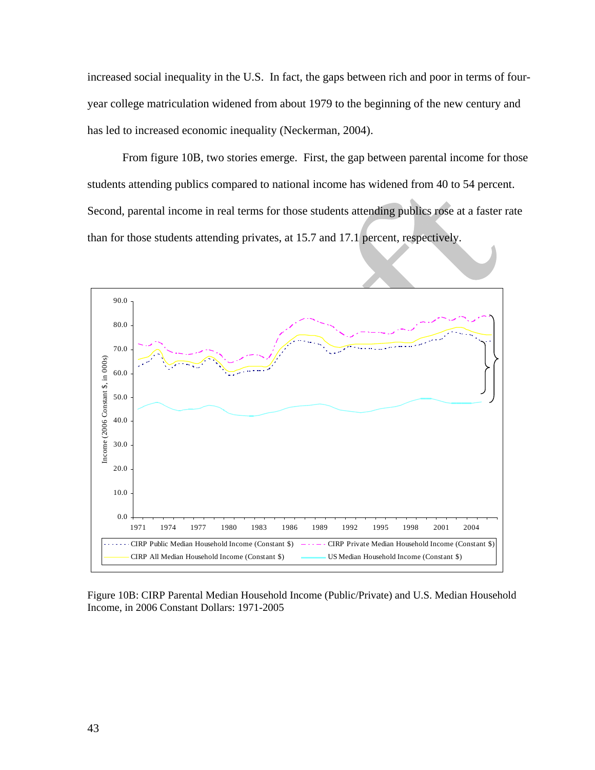increased social inequality in the U.S. In fact, the gaps between rich and poor in terms of fouryear college matriculation widened from about 1979 to the beginning of the new century and has led to increased economic inequality (Neckerman, 2004).

 From figure 10B, two stories emerge. First, the gap between parental income for those students attending publics compared to national income has widened from 40 to 54 percent. Second, parental income in real terms for those students attending publics rose at a faster rate than for those students attending privates, at 15.7 and 17.1 percent, respectively.



Figure 10B: CIRP Parental Median Household Income (Public/Private) and U.S. Median Household Income, in 2006 Constant Dollars: 1971-2005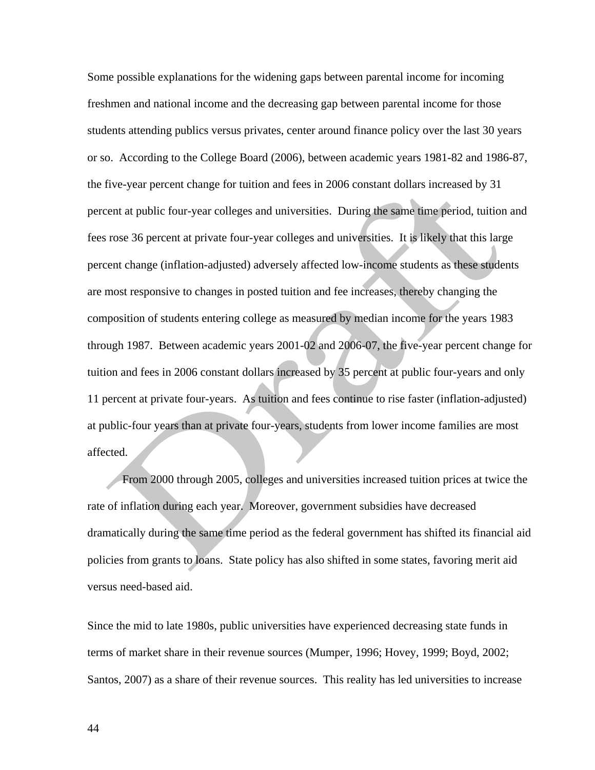Some possible explanations for the widening gaps between parental income for incoming freshmen and national income and the decreasing gap between parental income for those students attending publics versus privates, center around finance policy over the last 30 years or so. According to the College Board (2006), between academic years 1981-82 and 1986-87, the five-year percent change for tuition and fees in 2006 constant dollars increased by 31 percent at public four-year colleges and universities. During the same time period, tuition and fees rose 36 percent at private four-year colleges and universities. It is likely that this large percent change (inflation-adjusted) adversely affected low-income students as these students are most responsive to changes in posted tuition and fee increases, thereby changing the composition of students entering college as measured by median income for the years 1983 through 1987. Between academic years 2001-02 and 2006-07, the five-year percent change for tuition and fees in 2006 constant dollars increased by 35 percent at public four-years and only 11 percent at private four-years. As tuition and fees continue to rise faster (inflation-adjusted) at public-four years than at private four-years, students from lower income families are most affected.

 From 2000 through 2005, colleges and universities increased tuition prices at twice the rate of inflation during each year. Moreover, government subsidies have decreased dramatically during the same time period as the federal government has shifted its financial aid policies from grants to loans. State policy has also shifted in some states, favoring merit aid versus need-based aid.

Since the mid to late 1980s, public universities have experienced decreasing state funds in terms of market share in their revenue sources (Mumper, 1996; Hovey, 1999; Boyd, 2002; Santos, 2007) as a share of their revenue sources. This reality has led universities to increase

44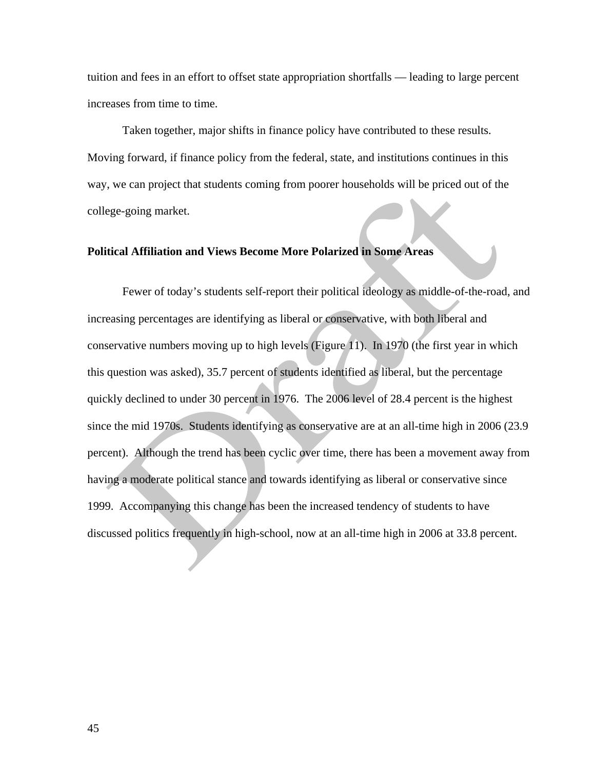tuition and fees in an effort to offset state appropriation shortfalls — leading to large percent increases from time to time.

 Taken together, major shifts in finance policy have contributed to these results. Moving forward, if finance policy from the federal, state, and institutions continues in this way, we can project that students coming from poorer households will be priced out of the college-going market.

#### **Political Affiliation and Views Become More Polarized in Some Areas**

 Fewer of today's students self-report their political ideology as middle-of-the-road, and increasing percentages are identifying as liberal or conservative, with both liberal and conservative numbers moving up to high levels (Figure 11). In 1970 (the first year in which this question was asked), 35.7 percent of students identified as liberal, but the percentage quickly declined to under 30 percent in 1976. The 2006 level of 28.4 percent is the highest since the mid 1970s. Students identifying as conservative are at an all-time high in 2006 (23.9 percent). Although the trend has been cyclic over time, there has been a movement away from having a moderate political stance and towards identifying as liberal or conservative since 1999. Accompanying this change has been the increased tendency of students to have discussed politics frequently in high-school, now at an all-time high in 2006 at 33.8 percent.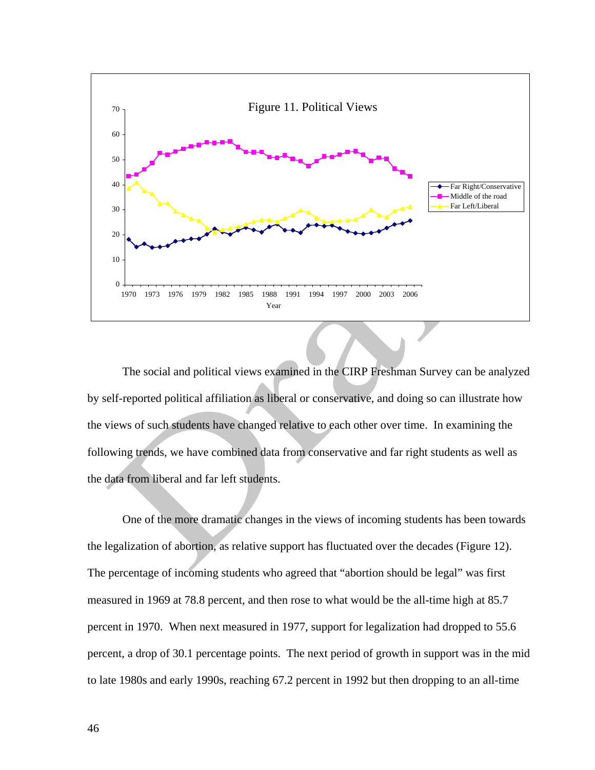

 The social and political views examined in the CIRP Freshman Survey can be analyzed by self-reported political affiliation as liberal or conservative, and doing so can illustrate how the views of such students have changed relative to each other over time. In examining the following trends, we have combined data from conservative and far right students as well as the data from liberal and far left students.

 One of the more dramatic changes in the views of incoming students has been towards the legalization of abortion, as relative support has fluctuated over the decades (Figure 12). The percentage of incoming students who agreed that "abortion should be legal" was first measured in 1969 at 78.8 percent, and then rose to what would be the all-time high at 85.7 percent in 1970. When next measured in 1977, support for legalization had dropped to 55.6 percent, a drop of 30.1 percentage points. The next period of growth in support was in the mid to late 1980s and early 1990s, reaching 67.2 percent in 1992 but then dropping to an all-time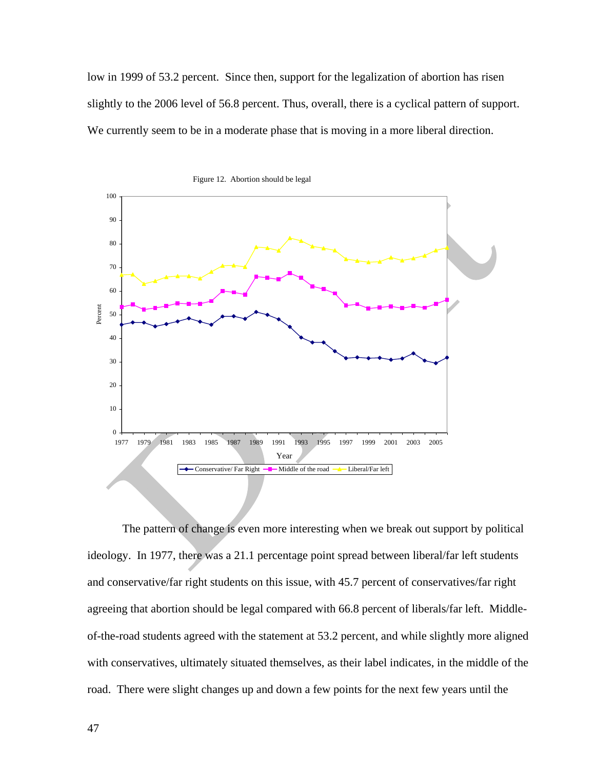low in 1999 of 53.2 percent. Since then, support for the legalization of abortion has risen slightly to the 2006 level of 56.8 percent. Thus, overall, there is a cyclical pattern of support. We currently seem to be in a moderate phase that is moving in a more liberal direction.



The pattern of change is even more interesting when we break out support by political ideology. In 1977, there was a 21.1 percentage point spread between liberal/far left students and conservative/far right students on this issue, with 45.7 percent of conservatives/far right agreeing that abortion should be legal compared with 66.8 percent of liberals/far left. Middleof-the-road students agreed with the statement at 53.2 percent, and while slightly more aligned with conservatives, ultimately situated themselves, as their label indicates, in the middle of the road. There were slight changes up and down a few points for the next few years until the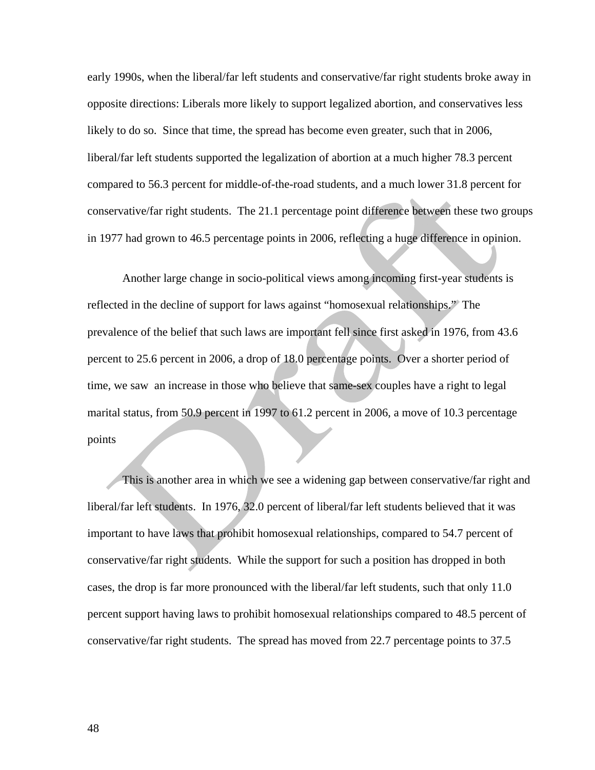early 1990s, when the liberal/far left students and conservative/far right students broke away in opposite directions: Liberals more likely to support legalized abortion, and conservatives less likely to do so. Since that time, the spread has become even greater, such that in 2006, liberal/far left students supported the legalization of abortion at a much higher 78.3 percent compared to 56.3 percent for middle-of-the-road students, and a much lower 31.8 percent for conservative/far right students. The 21.1 percentage point difference between these two groups in 1977 had grown to 46.5 percentage points in 2006, reflecting a huge difference in opinion.

Another large change in socio-political views among incoming first-year students is reflected in the decline of support for laws against "homosexual relationships." The prevalence of the belief that such laws are important fell since first asked in 1976, from 43.6 percent to 25.6 percent in 2006, a drop of 18.0 percentage points. Over a shorter period of time, we saw an increase in those who believe that same-sex couples have a right to legal marital status, from 50.9 percent in 1997 to 61.2 percent in 2006, a move of 10.3 percentage points

This is another area in which we see a widening gap between conservative/far right and liberal/far left students. In 1976, 32.0 percent of liberal/far left students believed that it was important to have laws that prohibit homosexual relationships, compared to 54.7 percent of conservative/far right students. While the support for such a position has dropped in both cases, the drop is far more pronounced with the liberal/far left students, such that only 11.0 percent support having laws to prohibit homosexual relationships compared to 48.5 percent of conservative/far right students. The spread has moved from 22.7 percentage points to 37.5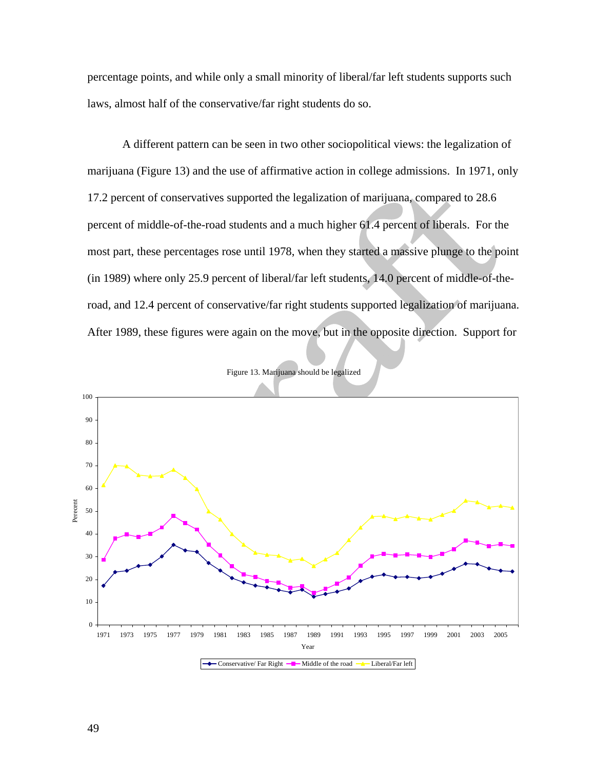percentage points, and while only a small minority of liberal/far left students supports such laws, almost half of the conservative/far right students do so.

 A different pattern can be seen in two other sociopolitical views: the legalization of marijuana (Figure 13) and the use of affirmative action in college admissions. In 1971, only 17.2 percent of conservatives supported the legalization of marijuana, compared to 28.6 percent of middle-of-the-road students and a much higher 61.4 percent of liberals. For the most part, these percentages rose until 1978, when they started a massive plunge to the point (in 1989) where only 25.9 percent of liberal/far left students, 14.0 percent of middle-of-theroad, and 12.4 percent of conservative/far right students supported legalization of marijuana. After 1989, these figures were again on the move, but in the opposite direction. Support for



Figure 13. Marijuana should be legalized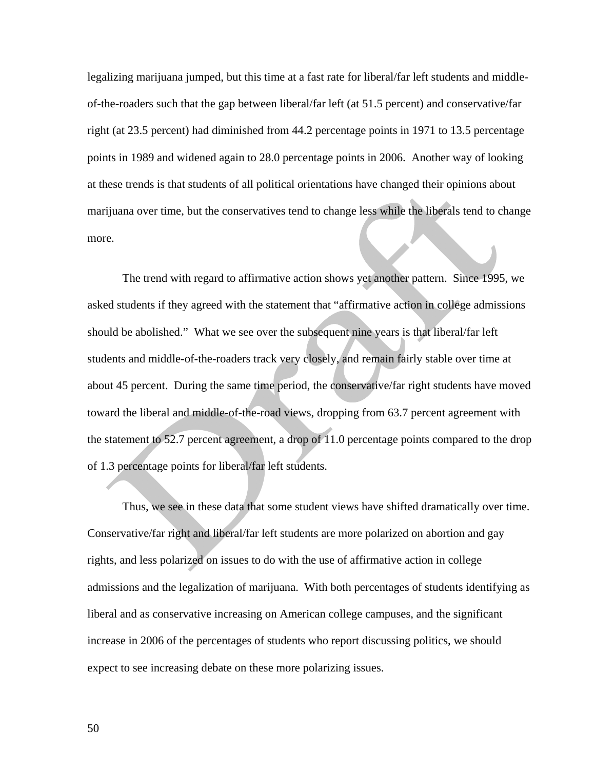legalizing marijuana jumped, but this time at a fast rate for liberal/far left students and middleof-the-roaders such that the gap between liberal/far left (at 51.5 percent) and conservative/far right (at 23.5 percent) had diminished from 44.2 percentage points in 1971 to 13.5 percentage points in 1989 and widened again to 28.0 percentage points in 2006. Another way of looking at these trends is that students of all political orientations have changed their opinions about marijuana over time, but the conservatives tend to change less while the liberals tend to change more.

 The trend with regard to affirmative action shows yet another pattern. Since 1995, we asked students if they agreed with the statement that "affirmative action in college admissions should be abolished." What we see over the subsequent nine years is that liberal/far left students and middle-of-the-roaders track very closely, and remain fairly stable over time at about 45 percent. During the same time period, the conservative/far right students have moved toward the liberal and middle-of-the-road views, dropping from 63.7 percent agreement with the statement to 52.7 percent agreement, a drop of 11.0 percentage points compared to the drop of 1.3 percentage points for liberal/far left students.

 Thus, we see in these data that some student views have shifted dramatically over time. Conservative/far right and liberal/far left students are more polarized on abortion and gay rights, and less polarized on issues to do with the use of affirmative action in college admissions and the legalization of marijuana. With both percentages of students identifying as liberal and as conservative increasing on American college campuses, and the significant increase in 2006 of the percentages of students who report discussing politics, we should expect to see increasing debate on these more polarizing issues.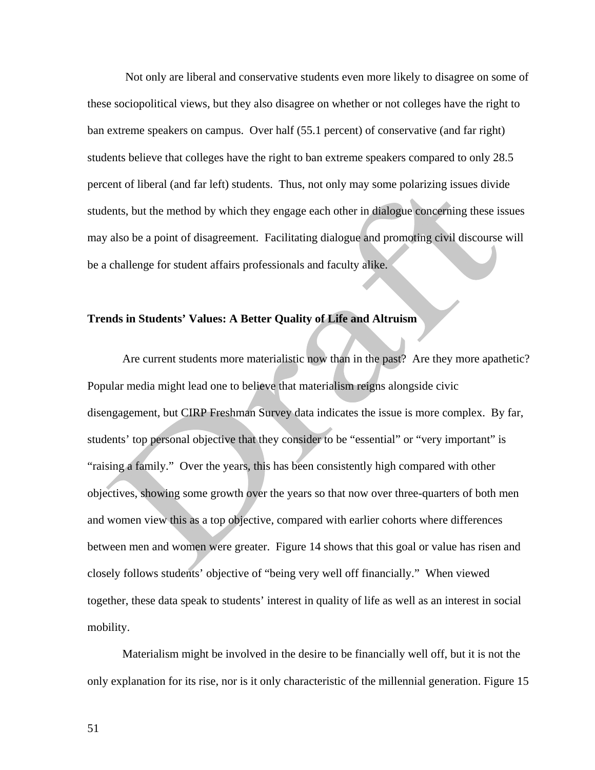Not only are liberal and conservative students even more likely to disagree on some of these sociopolitical views, but they also disagree on whether or not colleges have the right to ban extreme speakers on campus. Over half (55.1 percent) of conservative (and far right) students believe that colleges have the right to ban extreme speakers compared to only 28.5 percent of liberal (and far left) students. Thus, not only may some polarizing issues divide students, but the method by which they engage each other in dialogue concerning these issues may also be a point of disagreement. Facilitating dialogue and promoting civil discourse will be a challenge for student affairs professionals and faculty alike.

#### **Trends in Students' Values: A Better Quality of Life and Altruism**

 Are current students more materialistic now than in the past? Are they more apathetic? Popular media might lead one to believe that materialism reigns alongside civic disengagement, but CIRP Freshman Survey data indicates the issue is more complex. By far, students' top personal objective that they consider to be "essential" or "very important" is "raising a family." Over the years, this has been consistently high compared with other objectives, showing some growth over the years so that now over three-quarters of both men and women view this as a top objective, compared with earlier cohorts where differences between men and women were greater. Figure 14 shows that this goal or value has risen and closely follows students' objective of "being very well off financially." When viewed together, these data speak to students' interest in quality of life as well as an interest in social mobility.

Materialism might be involved in the desire to be financially well off, but it is not the only explanation for its rise, nor is it only characteristic of the millennial generation. Figure 15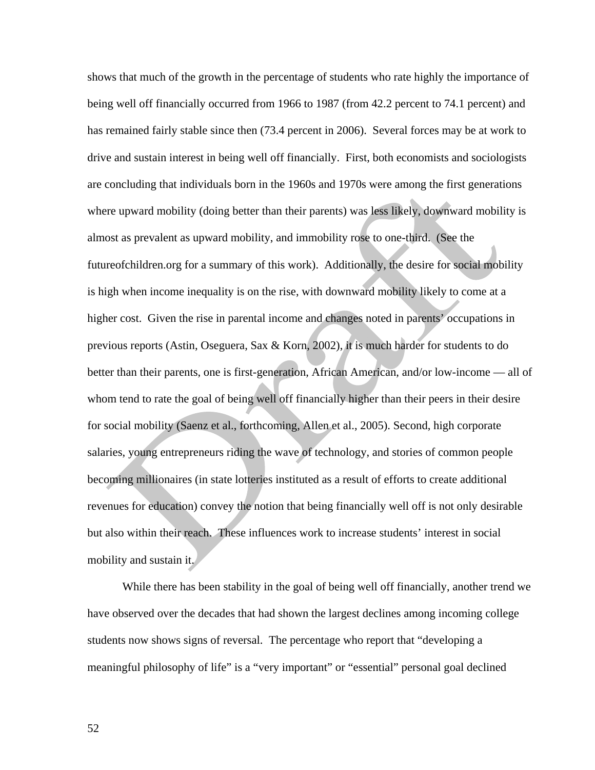shows that much of the growth in the percentage of students who rate highly the importance of being well off financially occurred from 1966 to 1987 (from 42.2 percent to 74.1 percent) and has remained fairly stable since then (73.4 percent in 2006). Several forces may be at work to drive and sustain interest in being well off financially. First, both economists and sociologists are concluding that individuals born in the 1960s and 1970s were among the first generations where upward mobility (doing better than their parents) was less likely, downward mobility is almost as prevalent as upward mobility, and immobility rose to one-third. (See the futureofchildren.org for a summary of this work). Additionally, the desire for social mobility is high when income inequality is on the rise, with downward mobility likely to come at a higher cost. Given the rise in parental income and changes noted in parents' occupations in previous reports (Astin, Oseguera, Sax & Korn, 2002), it is much harder for students to do better than their parents, one is first-generation, African American, and/or low-income — all of whom tend to rate the goal of being well off financially higher than their peers in their desire for social mobility (Saenz et al., forthcoming, Allen et al., 2005). Second, high corporate salaries, young entrepreneurs riding the wave of technology, and stories of common people becoming millionaires (in state lotteries instituted as a result of efforts to create additional revenues for education) convey the notion that being financially well off is not only desirable but also within their reach. These influences work to increase students' interest in social mobility and sustain it.

While there has been stability in the goal of being well off financially, another trend we have observed over the decades that had shown the largest declines among incoming college students now shows signs of reversal. The percentage who report that "developing a meaningful philosophy of life" is a "very important" or "essential" personal goal declined

52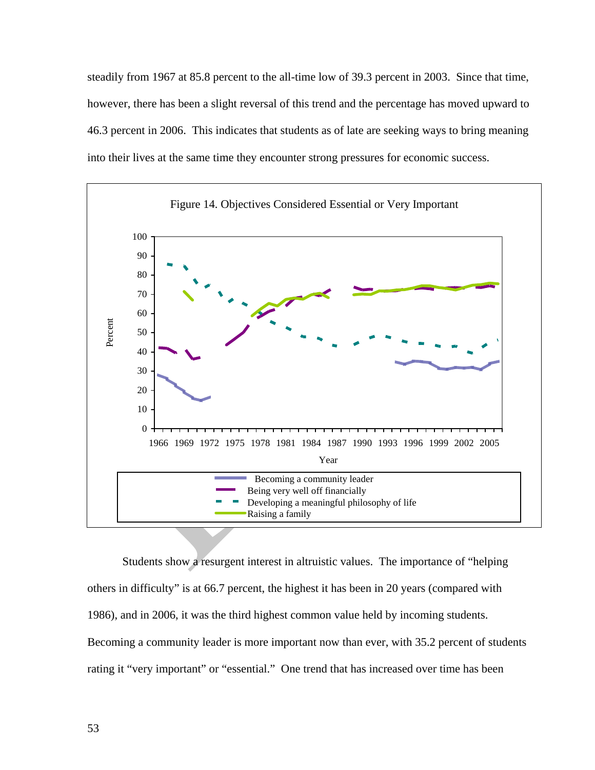steadily from 1967 at 85.8 percent to the all-time low of 39.3 percent in 2003. Since that time, however, there has been a slight reversal of this trend and the percentage has moved upward to 46.3 percent in 2006. This indicates that students as of late are seeking ways to bring meaning into their lives at the same time they encounter strong pressures for economic success.



 Students show a resurgent interest in altruistic values. The importance of "helping others in difficulty" is at 66.7 percent, the highest it has been in 20 years (compared with 1986), and in 2006, it was the third highest common value held by incoming students. Becoming a community leader is more important now than ever, with 35.2 percent of students rating it "very important" or "essential." One trend that has increased over time has been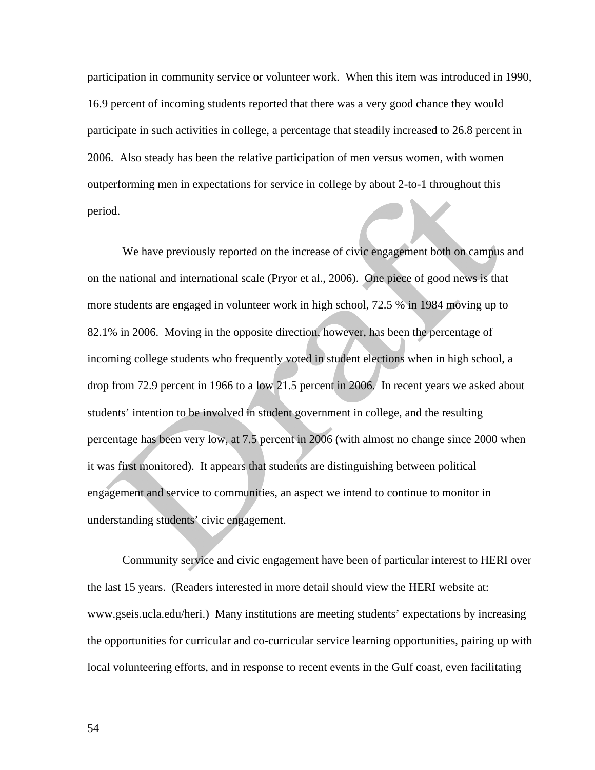participation in community service or volunteer work. When this item was introduced in 1990, 16.9 percent of incoming students reported that there was a very good chance they would participate in such activities in college, a percentage that steadily increased to 26.8 percent in 2006. Also steady has been the relative participation of men versus women, with women outperforming men in expectations for service in college by about 2-to-1 throughout this period.

 We have previously reported on the increase of civic engagement both on campus and on the national and international scale (Pryor et al., 2006). One piece of good news is that more students are engaged in volunteer work in high school, 72.5 % in 1984 moving up to 82.1% in 2006. Moving in the opposite direction, however, has been the percentage of incoming college students who frequently voted in student elections when in high school, a drop from 72.9 percent in 1966 to a low 21.5 percent in 2006. In recent years we asked about students' intention to be involved in student government in college, and the resulting percentage has been very low, at 7.5 percent in 2006 (with almost no change since 2000 when it was first monitored). It appears that students are distinguishing between political engagement and service to communities, an aspect we intend to continue to monitor in understanding students' civic engagement.

Community service and civic engagement have been of particular interest to HERI over the last 15 years. (Readers interested in more detail should view the HERI website at: www.gseis.ucla.edu/heri.) Many institutions are meeting students' expectations by increasing the opportunities for curricular and co-curricular service learning opportunities, pairing up with local volunteering efforts, and in response to recent events in the Gulf coast, even facilitating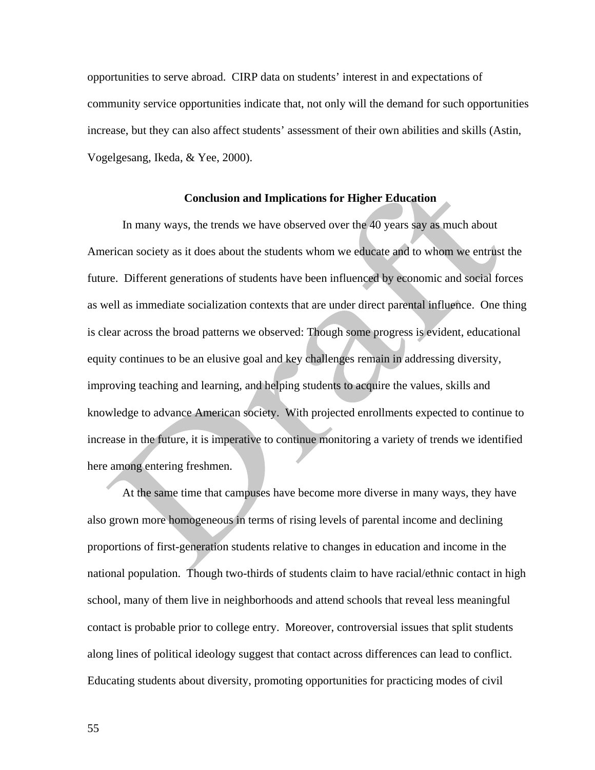opportunities to serve abroad. CIRP data on students' interest in and expectations of community service opportunities indicate that, not only will the demand for such opportunities increase, but they can also affect students' assessment of their own abilities and skills (Astin, Vogelgesang, Ikeda, & Yee, 2000).

#### **Conclusion and Implications for Higher Education**

In many ways, the trends we have observed over the 40 years say as much about American society as it does about the students whom we educate and to whom we entrust the future. Different generations of students have been influenced by economic and social forces as well as immediate socialization contexts that are under direct parental influence. One thing is clear across the broad patterns we observed: Though some progress is evident, educational equity continues to be an elusive goal and key challenges remain in addressing diversity, improving teaching and learning, and helping students to acquire the values, skills and knowledge to advance American society. With projected enrollments expected to continue to increase in the future, it is imperative to continue monitoring a variety of trends we identified here among entering freshmen.

At the same time that campuses have become more diverse in many ways, they have also grown more homogeneous in terms of rising levels of parental income and declining proportions of first-generation students relative to changes in education and income in the national population. Though two-thirds of students claim to have racial/ethnic contact in high school, many of them live in neighborhoods and attend schools that reveal less meaningful contact is probable prior to college entry. Moreover, controversial issues that split students along lines of political ideology suggest that contact across differences can lead to conflict. Educating students about diversity, promoting opportunities for practicing modes of civil

55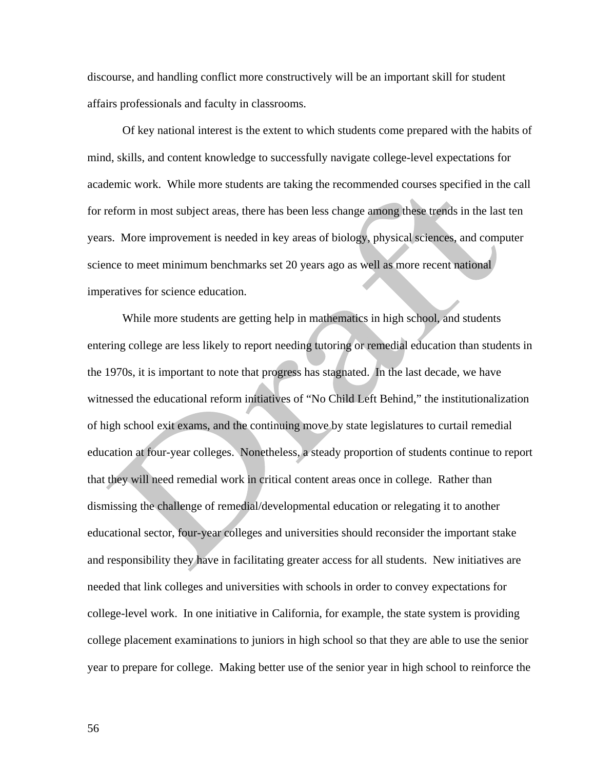discourse, and handling conflict more constructively will be an important skill for student affairs professionals and faculty in classrooms.

Of key national interest is the extent to which students come prepared with the habits of mind, skills, and content knowledge to successfully navigate college-level expectations for academic work. While more students are taking the recommended courses specified in the call for reform in most subject areas, there has been less change among these trends in the last ten years. More improvement is needed in key areas of biology, physical sciences, and computer science to meet minimum benchmarks set 20 years ago as well as more recent national imperatives for science education.

While more students are getting help in mathematics in high school, and students entering college are less likely to report needing tutoring or remedial education than students in the 1970s, it is important to note that progress has stagnated. In the last decade, we have witnessed the educational reform initiatives of "No Child Left Behind," the institutionalization of high school exit exams, and the continuing move by state legislatures to curtail remedial education at four-year colleges. Nonetheless, a steady proportion of students continue to report that they will need remedial work in critical content areas once in college. Rather than dismissing the challenge of remedial/developmental education or relegating it to another educational sector, four-year colleges and universities should reconsider the important stake and responsibility they have in facilitating greater access for all students. New initiatives are needed that link colleges and universities with schools in order to convey expectations for college-level work. In one initiative in California, for example, the state system is providing college placement examinations to juniors in high school so that they are able to use the senior year to prepare for college. Making better use of the senior year in high school to reinforce the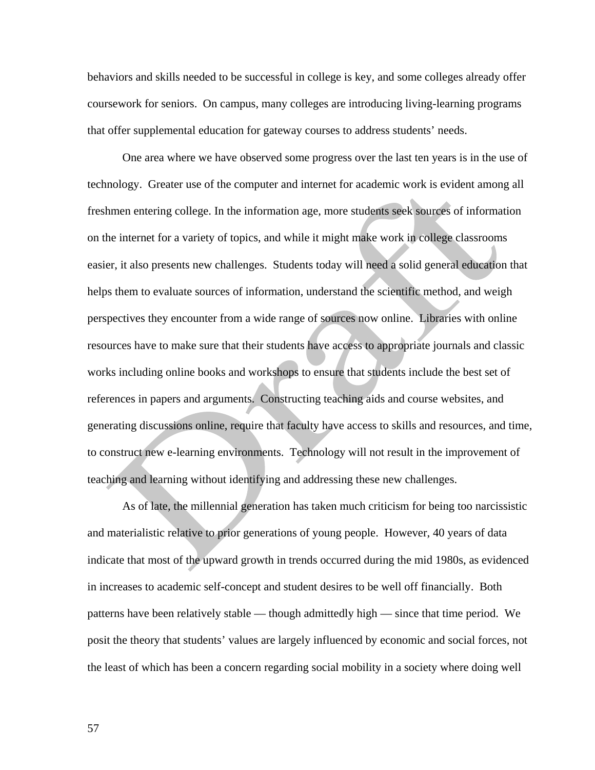behaviors and skills needed to be successful in college is key, and some colleges already offer coursework for seniors. On campus, many colleges are introducing living-learning programs that offer supplemental education for gateway courses to address students' needs.

One area where we have observed some progress over the last ten years is in the use of technology. Greater use of the computer and internet for academic work is evident among all freshmen entering college. In the information age, more students seek sources of information on the internet for a variety of topics, and while it might make work in college classrooms easier, it also presents new challenges. Students today will need a solid general education that helps them to evaluate sources of information, understand the scientific method, and weigh perspectives they encounter from a wide range of sources now online. Libraries with online resources have to make sure that their students have access to appropriate journals and classic works including online books and workshops to ensure that students include the best set of references in papers and arguments. Constructing teaching aids and course websites, and generating discussions online, require that faculty have access to skills and resources, and time, to construct new e-learning environments. Technology will not result in the improvement of teaching and learning without identifying and addressing these new challenges.

As of late, the millennial generation has taken much criticism for being too narcissistic and materialistic relative to prior generations of young people. However, 40 years of data indicate that most of the upward growth in trends occurred during the mid 1980s, as evidenced in increases to academic self-concept and student desires to be well off financially. Both patterns have been relatively stable — though admittedly high — since that time period. We posit the theory that students' values are largely influenced by economic and social forces, not the least of which has been a concern regarding social mobility in a society where doing well

57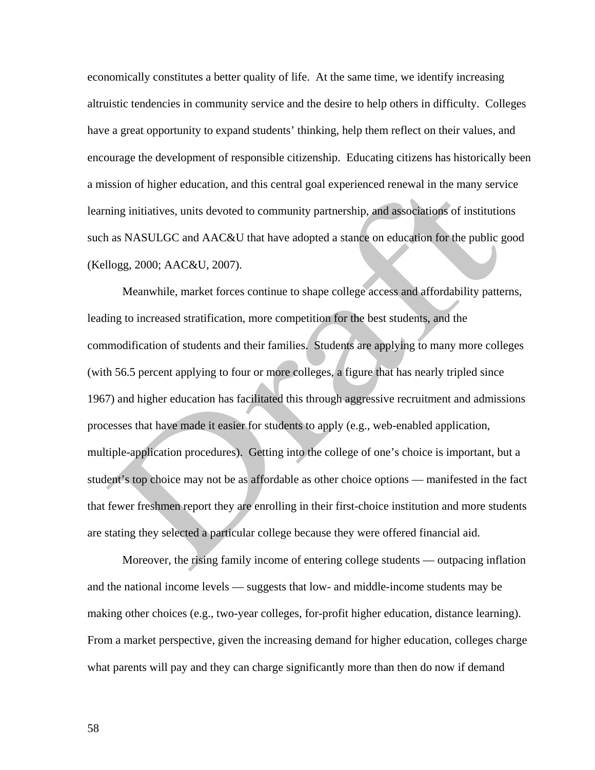economically constitutes a better quality of life. At the same time, we identify increasing altruistic tendencies in community service and the desire to help others in difficulty. Colleges have a great opportunity to expand students' thinking, help them reflect on their values, and encourage the development of responsible citizenship. Educating citizens has historically been a mission of higher education, and this central goal experienced renewal in the many service learning initiatives, units devoted to community partnership, and associations of institutions such as NASULGC and AAC&U that have adopted a stance on education for the public good (Kellogg, 2000; AAC&U, 2007).

Meanwhile, market forces continue to shape college access and affordability patterns, leading to increased stratification, more competition for the best students, and the commodification of students and their families. Students are applying to many more colleges (with 56.5 percent applying to four or more colleges, a figure that has nearly tripled since 1967) and higher education has facilitated this through aggressive recruitment and admissions processes that have made it easier for students to apply (e.g., web-enabled application, multiple-application procedures). Getting into the college of one's choice is important, but a student's top choice may not be as affordable as other choice options — manifested in the fact that fewer freshmen report they are enrolling in their first-choice institution and more students are stating they selected a particular college because they were offered financial aid.

Moreover, the rising family income of entering college students — outpacing inflation and the national income levels — suggests that low- and middle-income students may be making other choices (e.g., two-year colleges, for-profit higher education, distance learning). From a market perspective, given the increasing demand for higher education, colleges charge what parents will pay and they can charge significantly more than then do now if demand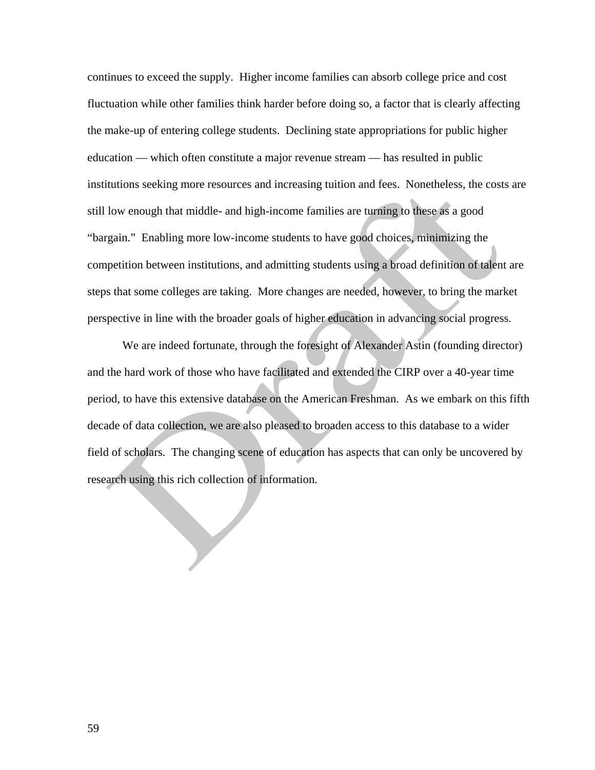continues to exceed the supply. Higher income families can absorb college price and cost fluctuation while other families think harder before doing so, a factor that is clearly affecting the make-up of entering college students. Declining state appropriations for public higher education — which often constitute a major revenue stream — has resulted in public institutions seeking more resources and increasing tuition and fees. Nonetheless, the costs are still low enough that middle- and high-income families are turning to these as a good "bargain." Enabling more low-income students to have good choices, minimizing the competition between institutions, and admitting students using a broad definition of talent are steps that some colleges are taking. More changes are needed, however, to bring the market perspective in line with the broader goals of higher education in advancing social progress.

 We are indeed fortunate, through the foresight of Alexander Astin (founding director) and the hard work of those who have facilitated and extended the CIRP over a 40-year time period, to have this extensive database on the American Freshman. As we embark on this fifth decade of data collection, we are also pleased to broaden access to this database to a wider field of scholars. The changing scene of education has aspects that can only be uncovered by research using this rich collection of information.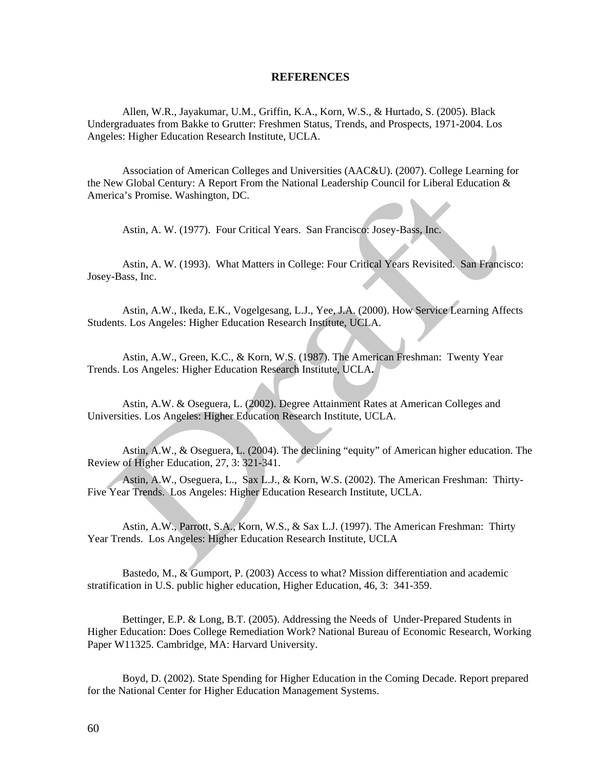#### **REFERENCES**

Allen, W.R., Jayakumar, U.M., Griffin, K.A., Korn, W.S., & Hurtado, S. (2005). Black Undergraduates from Bakke to Grutter: Freshmen Status, Trends, and Prospects, 1971-2004. Los Angeles: Higher Education Research Institute, UCLA.

Association of American Colleges and Universities (AAC&U). (2007). College Learning for the New Global Century: A Report From the National Leadership Council for Liberal Education & America's Promise. Washington, DC.

Astin, A. W. (1977). Four Critical Years. San Francisco: Josey-Bass, Inc.

Astin, A. W. (1993). What Matters in College: Four Critical Years Revisited. San Francisco: Josey-Bass, Inc.

Astin, A.W., Ikeda, E.K., Vogelgesang, L.J., Yee, J.A. (2000). How Service Learning Affects Students. Los Angeles: Higher Education Research Institute, UCLA.

Astin, A.W., Green, K.C., & Korn, W.S. (1987). The American Freshman: Twenty Year Trends. Los Angeles: Higher Education Research Institute, UCLA**.** 

Astin, A.W. & Oseguera, L. (2002). Degree Attainment Rates at American Colleges and Universities. Los Angeles: Higher Education Research Institute, UCLA.

Astin, A.W., & Oseguera, L. (2004). The declining "equity" of American higher education. The Review of Higher Education, 27, 3: 321-341.

Astin, A.W., Oseguera, L., Sax L.J., & Korn, W.S. (2002). The American Freshman: Thirty-Five Year Trends. Los Angeles: Higher Education Research Institute, UCLA.

Astin, A.W., Parrott, S.A., Korn, W.S., & Sax L.J. (1997). The American Freshman: Thirty Year Trends. Los Angeles: Higher Education Research Institute, UCLA

Bastedo, M., & Gumport, P. (2003) Access to what? Mission differentiation and academic stratification in U.S. public higher education, Higher Education, 46, 3: 341-359.

Bettinger, E.P. & Long, B.T. (2005). Addressing the Needs of Under-Prepared Students in Higher Education: Does College Remediation Work? National Bureau of Economic Research, Working Paper W11325. Cambridge, MA: Harvard University.

Boyd, D. (2002). State Spending for Higher Education in the Coming Decade. Report prepared for the National Center for Higher Education Management Systems.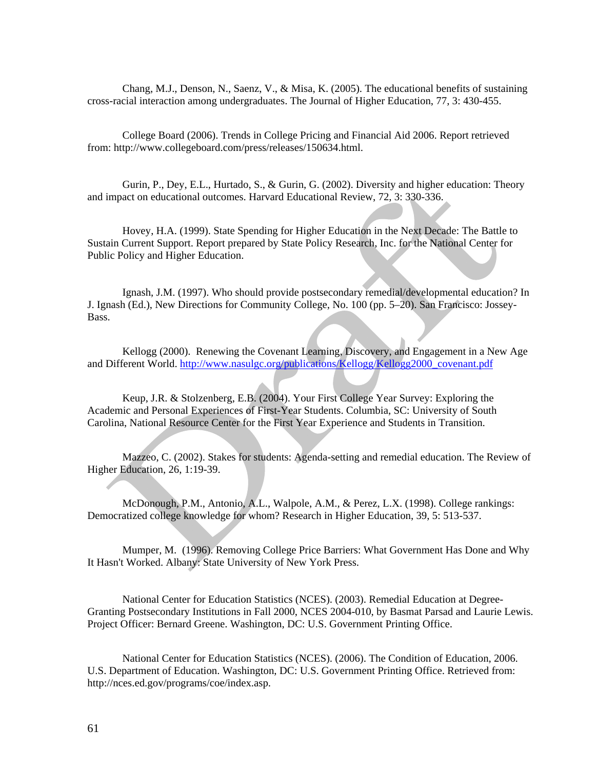Chang, M.J., Denson, N., Saenz, V., & Misa, K. (2005). The educational benefits of sustaining cross-racial interaction among undergraduates. The Journal of Higher Education, 77, 3: 430-455.

College Board (2006). Trends in College Pricing and Financial Aid 2006. Report retrieved from: http://www.collegeboard.com/press/releases/150634.html.

Gurin, P., Dey, E.L., Hurtado, S., & Gurin, G. (2002). Diversity and higher education: Theory and impact on educational outcomes. Harvard Educational Review, 72, 3: 330-336.

Hovey, H.A. (1999). State Spending for Higher Education in the Next Decade: The Battle to Sustain Current Support. Report prepared by State Policy Research, Inc. for the National Center for Public Policy and Higher Education.

Ignash, J.M. (1997). Who should provide postsecondary remedial/developmental education? In J. Ignash (Ed.), New Directions for Community College, No. 100 (pp. 5–20). San Francisco: Jossey-Bass.

Kellogg (2000). Renewing the Covenant Learning, Discovery, and Engagement in a New Age and Different World. http://www.nasulgc.org/publications/Kellogg/Kellogg2000\_covenant.pdf

Keup, J.R. & Stolzenberg, E.B. (2004). Your First College Year Survey: Exploring the Academic and Personal Experiences of First-Year Students. Columbia, SC: University of South Carolina, National Resource Center for the First Year Experience and Students in Transition.

Mazzeo, C. (2002). Stakes for students: Agenda-setting and remedial education. The Review of Higher Education, 26, 1:19-39.

McDonough, P.M., Antonio, A.L., Walpole, A.M., & Perez, L.X. (1998). College rankings: Democratized college knowledge for whom? Research in Higher Education, 39, 5: 513-537.

Mumper, M. (1996). Removing College Price Barriers: What Government Has Done and Why It Hasn't Worked. Albany: State University of New York Press.

National Center for Education Statistics (NCES). (2003). Remedial Education at Degree-Granting Postsecondary Institutions in Fall 2000, NCES 2004-010, by Basmat Parsad and Laurie Lewis. Project Officer: Bernard Greene. Washington, DC: U.S. Government Printing Office.

National Center for Education Statistics (NCES). (2006). The Condition of Education, 2006. U.S. Department of Education. Washington, DC: U.S. Government Printing Office. Retrieved from: http://nces.ed.gov/programs/coe/index.asp.